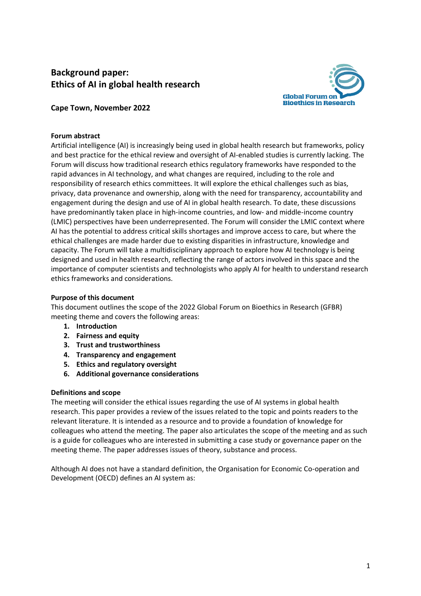# **Background paper: Ethics of AI in global health research**



# **Cape Town, November 2022**

# **Forum abstract**

Artificial intelligence (AI) is increasingly being used in global health research but frameworks, policy and best practice for the ethical review and oversight of AI-enabled studies is currently lacking. The Forum will discuss how traditional research ethics regulatory frameworks have responded to the rapid advances in AI technology, and what changes are required, including to the role and responsibility of research ethics committees. It will explore the ethical challenges such as bias, privacy, data provenance and ownership, along with the need for transparency, accountability and engagement during the design and use of AI in global health research. To date, these discussions have predominantly taken place in high-income countries, and low- and middle-income country (LMIC) perspectives have been underrepresented. The Forum will consider the LMIC context where AI has the potential to address critical skills shortages and improve access to care, but where the ethical challenges are made harder due to existing disparities in infrastructure, knowledge and capacity. The Forum will take a multidisciplinary approach to explore how AI technology is being designed and used in health research, reflecting the range of actors involved in this space and the importance of computer scientists and technologists who apply AI for health to understand research ethics frameworks and considerations.

# **Purpose of this document**

This document outlines the scope of the 2022 Global Forum on Bioethics in Research (GFBR) meeting theme and covers the following areas:

- **1. Introduction**
- **2. Fairness and equity**
- **3. Trust and trustworthiness**
- **4. Transparency and engagement**
- **5. Ethics and regulatory oversight**
- **6. Additional governance considerations**

#### **Definitions and scope**

The meeting will consider the ethical issues regarding the use of AI systems in global health research. This paper provides a review of the issues related to the topic and points readers to the relevant literature. It is intended as a resource and to provide a foundation of knowledge for colleagues who attend the meeting. The paper also articulates the scope of the meeting and as such is a guide for colleagues who are interested in submitting a case study or governance paper on the meeting theme. The paper addresses issues of theory, substance and process.

Although AI does not have a standard definition, the Organisation for Economic Co-operation and Development (OECD) defines an AI system as: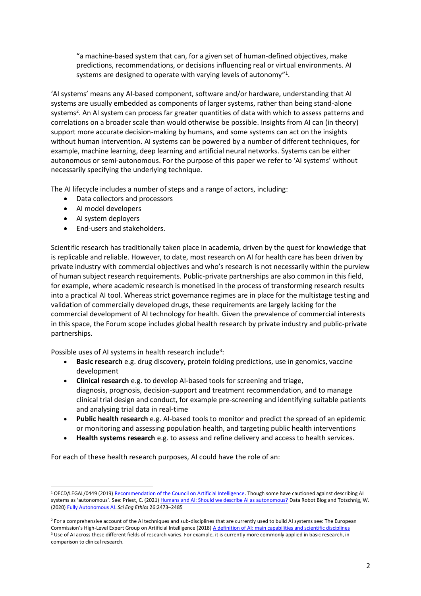"a machine-based system that can, for a given set of human-defined objectives, make predictions, recommendations, or decisions influencing real or virtual environments. AI systems are designed to operate with varying levels of autonomy"<sup>1</sup>.

'AI systems' means any AI-based component, software and/or hardware, understanding that AI systems are usually embedded as components of larger systems, rather than being stand-alone systems<sup>2</sup>. An AI system can process far greater quantities of data with which to assess patterns and correlations on a broader scale than would otherwise be possible. Insights from AI can (in theory) support more accurate decision-making by humans, and some systems can act on the insights without human intervention. AI systems can be powered by a number of different techniques, for example, machine learning, deep learning and artificial neural networks. Systems can be either autonomous or semi-autonomous. For the purpose of this paper we refer to 'AI systems' without necessarily specifying the underlying technique.

The AI lifecycle includes a number of steps and a range of actors, including:

- Data collectors and processors
- AI model developers
- AI system deployers
- End-users and stakeholders.

Scientific research has traditionally taken place in academia, driven by the quest for knowledge that is replicable and reliable. However, to date, most research on AI for health care has been driven by private industry with commercial objectives and who's research is not necessarily within the purview of human subject research requirements. Public-private partnerships are also common in this field, for example, where academic research is monetised in the process of transforming research results into a practical AI tool. Whereas strict governance regimes are in place for the multistage testing and validation of commercially developed drugs, these requirements are largely lacking for the commercial development of AI technology for health. Given the prevalence of commercial interests in this space, the Forum scope includes global health research by private industry and public-private partnerships.

Possible uses of AI systems in health research include<sup>3</sup>:

- **Basic research** e.g. drug discovery, protein folding predictions, use in genomics, vaccine development
- **Clinical research** e.g. to develop AI-based tools for screening and triage, diagnosis, prognosis, decision-support and treatment recommendation, and to manage clinical trial design and conduct, for example pre-screening and identifying suitable patients and analysing trial data in real-time
- **Public health research** e.g. AI-based tools to monitor and predict the spread of an epidemic or monitoring and assessing population health, and targeting public health interventions
- **Health systems research** e.g. to assess and refine delivery and access to health services.

For each of these health research purposes, AI could have the role of an:

<sup>1</sup> OECD/LEGAL/0449 (2019) [Recommendation of the Council on Artificial Intelligence.](https://legalinstruments.oecd.org/en/instruments/OECD-LEGAL-0449) Though some have cautioned against describing AI systems as 'autonomous'. See: Priest, C. (2021[\) Humans and AI: Should we describe AI as autonomous?](https://www.datarobot.com/blog/humans-and-ai-should-we-describe-ai-as-autonomous/) Data Robot Blog and Totschnig, W. (2020) [Fully Autonomous AI.](https://link.springer.com/article/10.1007/s11948-020-00243-z) *Sci Eng Ethics* 26:2473–2485

<sup>&</sup>lt;sup>2</sup> For a comprehensive account of the AI techniques and sub-disciplines that are currently used to build AI systems see: The European Commission's High-Level Expert Group on Artificial Intelligence (2018) [A definition of AI: main capabilities and scientific disciplines](https://ec.europa.eu/futurium/en/system/files/ged/ai_hleg_definition_of_ai_18_december_1.pdf) <sup>3</sup> Use of AI across these different fields of research varies. For example, it is currently more commonly applied in basic research, in comparison to clinical research.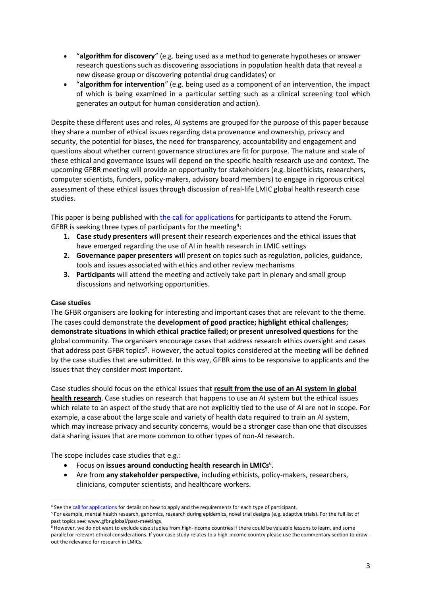- "**algorithm for discovery**" (e.g. being used as a method to generate hypotheses or answer research questions such as discovering associations in population health data that reveal a new disease group or discovering potential drug candidates) or
- "**algorithm for intervention**" (e.g. being used as a component of an intervention, the impact of which is being examined in a particular setting such as a clinical screening tool which generates an output for human consideration and action).

Despite these different uses and roles, AI systems are grouped for the purpose of this paper because they share a number of ethical issues regarding data provenance and ownership, privacy and security, the potential for biases, the need for transparency, accountability and engagement and questions about whether current governance structures are fit for purpose. The nature and scale of these ethical and governance issues will depend on the specific health research use and context. The upcoming GFBR meeting will provide an opportunity for stakeholders (e.g. bioethicists, researchers, computer scientists, funders, policy-makers, advisory board members) to engage in rigorous critical assessment of these ethical issues through discussion of real-life LMIC global health research case studies.

This paper is being published with [the call for applications](https://www.gfbr.global/news/gfbr-2022-call-for-applications-now-open) for participants to attend the Forum. GFBR is seeking three types of participants for the meeting<sup>4</sup>:

- **1. Case study presenters** will present their research experiences and the ethical issues that have emerged regarding the use of AI in health research in LMIC settings
- **2. Governance paper presenters** will present on topics such as regulation, policies, guidance, tools and issues associated with ethics and other review mechanisms
- **3. Participants** will attend the meeting and actively take part in plenary and small group discussions and networking opportunities.

# **Case studies**

The GFBR organisers are looking for interesting and important cases that are relevant to the theme. The cases could demonstrate the **development of good practice; highlight ethical challenges; demonstrate situations in which ethical practice failed; or present unresolved questions** for the global community. The organisers encourage cases that address research ethics oversight and cases that address past GFBR topics<sup>5</sup>. However, the actual topics considered at the meeting will be defined by the case studies that are submitted. In this way, GFBR aims to be responsive to applicants and the issues that they consider most important.

Case studies should focus on the ethical issues that **result from the use of an AI system in global health research**. Case studies on research that happens to use an AI system but the ethical issues which relate to an aspect of the study that are not explicitly tied to the use of AI are not in scope. For example, a case about the large scale and variety of health data required to train an AI system, which may increase privacy and security concerns, would be a stronger case than one that discusses data sharing issues that are more common to other types of non-AI research.

The scope includes case studies that e.g.:

- **•** Focus on issues around conducting health research in LMICs<sup>6</sup>.
- Are from **any stakeholder perspective**, including ethicists, policy-makers, researchers, clinicians, computer scientists, and healthcare workers.

<sup>&</sup>lt;sup>4</sup> See th[e call for applications](https://www.gfbr.global/news/gfbr-2022-call-for-applications-now-open/) for details on how to apply and the requirements for each type of participant.

<sup>5</sup> For example, mental health research, genomics, research during epidemics, novel trial designs (e.g. adaptive trials). For the full list of past topics see: www.gfbr.global/past-meetings.

<sup>&</sup>lt;sup>6</sup> However, we do not want to exclude case studies from high-income countries if there could be valuable lessons to learn, and some parallel or relevant ethical considerations. If your case study relates to a high-income country please use the commentary section to drawout the relevance for research in LMICs.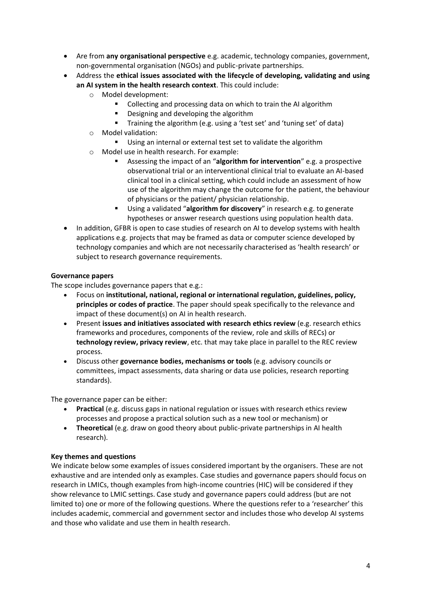- Are from **any organisational perspective** e.g. academic, technology companies, government, non-governmental organisation (NGOs) and public-private partnerships.
- Address the **ethical issues associated with the lifecycle of developing, validating and using an AI system in the health research context**. This could include:
	- o Model development:
		- Collecting and processing data on which to train the AI algorithm
		- Designing and developing the algorithm
		- Training the algorithm (e.g. using a 'test set' and 'tuning set' of data)
	- o Model validation:
		- Using an internal or external test set to validate the algorithm
	- o Model use in health research. For example:
		- Assessing the impact of an "algorithm for intervention" e.g. a prospective observational trial or an interventional clinical trial to evaluate an AI-based clinical tool in a clinical setting, which could include an assessment of how use of the algorithm may change the outcome for the patient, the behaviour of physicians or the patient/ physician relationship.
		- Using a validated "**algorithm for discovery**" in research e.g. to generate hypotheses or answer research questions using population health data.
- In addition, GFBR is open to case studies of research on AI to develop systems with health applications e.g. projects that may be framed as data or computer science developed by technology companies and which are not necessarily characterised as 'health research' or subject to research governance requirements.

# **Governance papers**

The scope includes governance papers that e.g.:

- Focus on **institutional, national, regional or international regulation, guidelines, policy, principles or codes of practice**. The paper should speak specifically to the relevance and impact of these document(s) on AI in health research.
- Present **issues and initiatives associated with research ethics review** (e.g. research ethics frameworks and procedures, components of the review, role and skills of RECs) or **technology review, privacy review**, etc. that may take place in parallel to the REC review process.
- Discuss other **governance bodies, mechanisms or tools** (e.g. advisory councils or committees, impact assessments, data sharing or data use policies, research reporting standards).

The governance paper can be either:

- **Practical** (e.g. discuss gaps in national regulation or issues with research ethics review processes and propose a practical solution such as a new tool or mechanism) or
- **Theoretical** (e.g. draw on good theory about public-private partnerships in AI health research).

#### **Key themes and questions**

We indicate below some examples of issues considered important by the organisers. These are not exhaustive and are intended only as examples. Case studies and governance papers should focus on research in LMICs, though examples from high-income countries (HIC) will be considered if they show relevance to LMIC settings. Case study and governance papers could address (but are not limited to) one or more of the following questions. Where the questions refer to a 'researcher' this includes academic, commercial and government sector and includes those who develop AI systems and those who validate and use them in health research.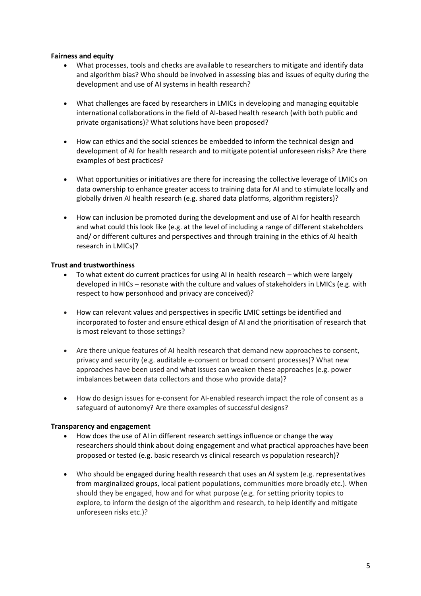# **Fairness and equity**

- What processes, tools and checks are available to researchers to mitigate and identify data and algorithm bias? Who should be involved in assessing bias and issues of equity during the development and use of AI systems in health research?
- What challenges are faced by researchers in LMICs in developing and managing equitable international collaborations in the field of AI-based health research (with both public and private organisations)? What solutions have been proposed?
- How can ethics and the social sciences be embedded to inform the technical design and development of AI for health research and to mitigate potential unforeseen risks? Are there examples of best practices?
- What opportunities or initiatives are there for increasing the collective leverage of LMICs on data ownership to enhance greater access to training data for AI and to stimulate locally and globally driven AI health research (e.g. shared data platforms, algorithm registers)?
- How can inclusion be promoted during the development and use of AI for health research and what could this look like (e.g. at the level of including a range of different stakeholders and/ or different cultures and perspectives and through training in the ethics of AI health research in LMICs)?

# **Trust and trustworthiness**

- To what extent do current practices for using AI in health research which were largely developed in HICs – resonate with the culture and values of stakeholders in LMICs (e.g. with respect to how personhood and privacy are conceived)?
- How can relevant values and perspectives in specific LMIC settings be identified and incorporated to foster and ensure ethical design of AI and the prioritisation of research that is most relevant to those settings?
- Are there unique features of AI health research that demand new approaches to consent, privacy and security (e.g. auditable e-consent or broad consent processes)? What new approaches have been used and what issues can weaken these approaches (e.g. power imbalances between data collectors and those who provide data)?
- How do design issues for e-consent for AI-enabled research impact the role of consent as a safeguard of autonomy? Are there examples of successful designs?

#### **Transparency and engagement**

- How does the use of AI in different research settings influence or change the way researchers should think about doing engagement and what practical approaches have been proposed or tested (e.g. basic research vs clinical research vs population research)?
- Who should be engaged during health research that uses an AI system (e.g. representatives from marginalized groups, local patient populations, communities more broadly etc.). When should they be engaged, how and for what purpose (e.g. for setting priority topics to explore, to inform the design of the algorithm and research, to help identify and mitigate unforeseen risks etc.)?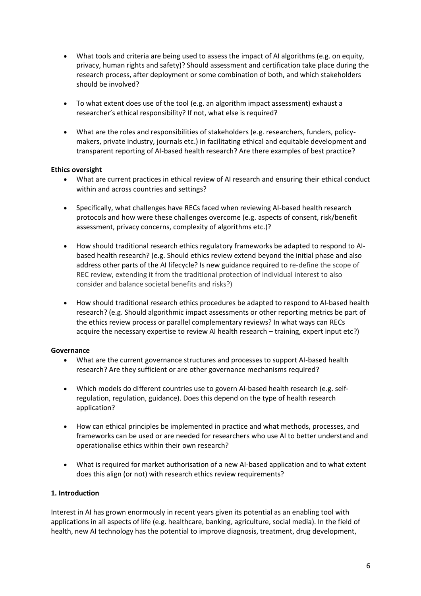- What tools and criteria are being used to assess the impact of AI algorithms (e.g. on equity, privacy, human rights and safety)? Should assessment and certification take place during the research process, after deployment or some combination of both, and which stakeholders should be involved?
- To what extent does use of the tool (e.g. an algorithm impact assessment) exhaust a researcher's ethical responsibility? If not, what else is required?
- What are the roles and responsibilities of stakeholders (e.g. researchers, funders, policymakers, private industry, journals etc.) in facilitating ethical and equitable development and transparent reporting of AI-based health research? Are there examples of best practice?

#### **Ethics oversight**

- What are current practices in ethical review of AI research and ensuring their ethical conduct within and across countries and settings?
- Specifically, what challenges have RECs faced when reviewing AI-based health research protocols and how were these challenges overcome (e.g. aspects of consent, risk/benefit assessment, privacy concerns, complexity of algorithms etc.)?
- How should traditional research ethics regulatory frameworks be adapted to respond to AIbased health research? (e.g. Should ethics review extend beyond the initial phase and also address other parts of the AI lifecycle? Is new guidance required to re-define the scope of REC review, extending it from the traditional protection of individual interest to also consider and balance societal benefits and risks?)
- How should traditional research ethics procedures be adapted to respond to AI-based health research? (e.g. Should algorithmic impact assessments or other reporting metrics be part of the ethics review process or parallel complementary reviews? In what ways can RECs acquire the necessary expertise to review AI health research – training, expert input etc?)

#### **Governance**

- What are the current governance structures and processes to support AI-based health research? Are they sufficient or are other governance mechanisms required?
- Which models do different countries use to govern AI-based health research (e.g. selfregulation, regulation, guidance). Does this depend on the type of health research application?
- How can ethical principles be implemented in practice and what methods, processes, and frameworks can be used or are needed for researchers who use AI to better understand and operationalise ethics within their own research?
- What is required for market authorisation of a new AI-based application and to what extent does this align (or not) with research ethics review requirements?

# **1. Introduction**

Interest in AI has grown enormously in recent years given its potential as an enabling tool with applications in all aspects of life (e.g. healthcare, banking, agriculture, social media). In the field of health, new AI technology has the potential to improve diagnosis, treatment, drug development,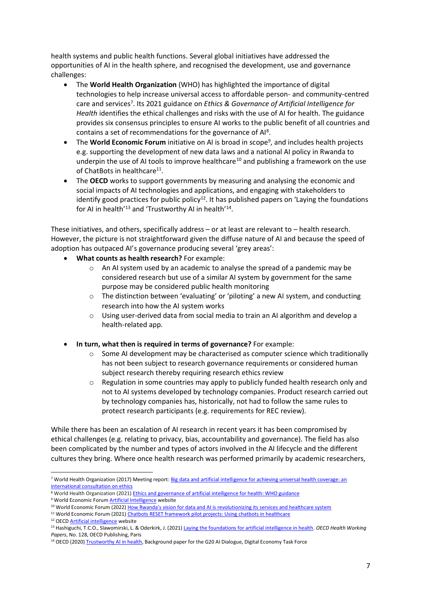health systems and public health functions. Several global initiatives have addressed the opportunities of AI in the health sphere, and recognised the development, use and governance challenges:

- The **World Health Organization** (WHO) has highlighted the importance of digital technologies to help increase universal access to affordable person- and community-centred care and services<sup>7</sup>. Its 2021 guidance on *Ethics & Governance of Artificial Intelligence for Health* identifies the ethical challenges and risks with the use of AI for health. The guidance provides six consensus principles to ensure AI works to the public benefit of all countries and contains a set of recommendations for the governance of Al<sup>8</sup>.
- The **World Economic Forum** initiative on AI is broad in scope<sup>9</sup>, and includes health projects e.g. supporting the development of new data laws and a national AI policy in Rwanda to underpin the use of AI tools to improve healthcare<sup>10</sup> and publishing a framework on the use of ChatBots in healthcare<sup>11</sup>.
- The **OECD** works to support governments by measuring and analysing the economic and social impacts of AI technologies and applications, and engaging with stakeholders to identify good practices for public policy<sup>12</sup>. It has published papers on 'Laying the foundations for AI in health'<sup>13</sup> and 'Trustworthy AI in health'<sup>14</sup>.

These initiatives, and others, specifically address – or at least are relevant to – health research. However, the picture is not straightforward given the diffuse nature of AI and because the speed of adoption has outpaced AI's governance producing several 'grey areas':

- **What counts as health research?** For example:
	- $\circ$  An AI system used by an academic to analyse the spread of a pandemic may be considered research but use of a similar AI system by government for the same purpose may be considered public health monitoring
	- o The distinction between 'evaluating' or 'piloting' a new AI system, and conducting research into how the AI system works
	- o Using user-derived data from social media to train an AI algorithm and develop a health-related app.
- **In turn, what then is required in terms of governance?** For example:
	- $\circ$  Some AI development may be characterised as computer science which traditionally has not been subject to research governance requirements or considered human subject research thereby requiring research ethics review
	- $\circ$  Regulation in some countries may apply to publicly funded health research only and not to AI systems developed by technology companies. Product research carried out by technology companies has, historically, not had to follow the same rules to protect research participants (e.g. requirements for REC review).

While there has been an escalation of AI research in recent years it has been compromised by ethical challenges (e.g. relating to privacy, bias, accountability and governance). The field has also been complicated by the number and types of actors involved in the AI lifecycle and the different cultures they bring. Where once health research was performed primarily by academic researchers,

- <sup>8</sup> World Health Organization (2021) [Ethics and governance of artificial intelligence for health: WHO guidance](https://www.who.int/publications/i/item/9789240029200)
- <sup>9</sup> World Economic Forum [Artificial Intelligence](https://www.weforum.org/topics/artificial-intelligence-and-robotics) website

<sup>11</sup> World Economic Forum (2021[\) Chatbots RESET framework pilot projects: Using chatbots in healthcare](https://www.weforum.org/reports/chatbots-reset-framework-pilot-projects-using-chatbots-in-healthcare)

<sup>7</sup> World Health Organization (2017) Meeting report: Big data and artificial intelligence for achieving universal health coverage: an [international consultation on ethics](https://apps.who.int/iris/bitstream/handle/10665/275417/WHO-HMM-IER-REK-2018.2-eng.pdf?ua=1)

<sup>&</sup>lt;sup>10</sup> World Economic Forum (2022) [How Rwanda's vision for data and AI is revolutionizing its services and healthcare system](https://www.weforum.org/impact/data-access-to-healthcare-in-rwanda/)

<sup>12</sup> OEC[D Artificial intelligence](https://www.oecd.org/digital/artificial-intelligence/) website

<sup>13</sup> Hashiguchi, T.C.O., Slawomirski, L. & Oderkirk, J. (2021) [Laying the foundations for artificial intelligence in health.](https://www.oecd-ilibrary.org/social-issues-migration-health/laying-the-foundations-for-artificial-intelligence-in-health_3f62817d-en) *OECD Health Working Papers*, No. 128, OECD Publishing, Paris

<sup>&</sup>lt;sup>14</sup> OECD (2020) [Trustworthy AI in health,](https://www.oecd.org/health/trustworthy-artificial-intelligence-in-health.pdf) Background paper for the G20 AI Dialogue, Digital Economy Task Force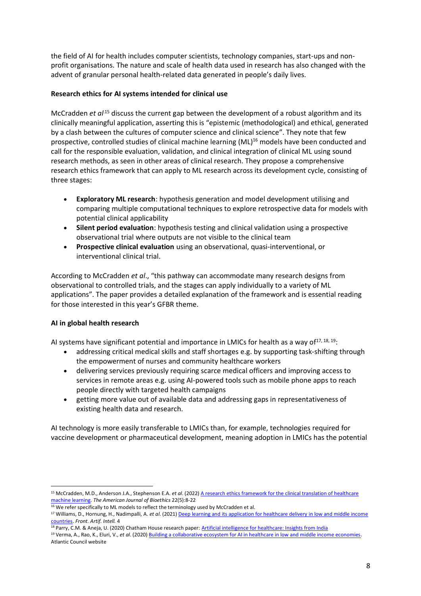the field of AI for health includes computer scientists, technology companies, start-ups and nonprofit organisations. The nature and scale of health data used in research has also changed with the advent of granular personal health-related data generated in people's daily lives.

# **Research ethics for AI systems intended for clinical use**

McCradden *et al*<sup>15</sup> discuss the current gap between the development of a robust algorithm and its clinically meaningful application, asserting this is "epistemic (methodological) and ethical, generated by a clash between the cultures of computer science and clinical science". They note that few prospective, controlled studies of clinical machine learning (ML)<sup>16</sup> models have been conducted and call for the responsible evaluation, validation, and clinical integration of clinical ML using sound research methods, as seen in other areas of clinical research. They propose a comprehensive research ethics framework that can apply to ML research across its development cycle, consisting of three stages:

- **Exploratory ML research**: hypothesis generation and model development utilising and comparing multiple computational techniques to explore retrospective data for models with potential clinical applicability
- **Silent period evaluation**: hypothesis testing and clinical validation using a prospective observational trial where outputs are not visible to the clinical team
- **Prospective clinical evaluation** using an observational, quasi-interventional, or interventional clinical trial.

According to McCradden *et al*., "this pathway can accommodate many research designs from observational to controlled trials, and the stages can apply individually to a variety of ML applications". The paper provides a detailed explanation of the framework and is essential reading for those interested in this year's GFBR theme.

# **AI in global health research**

AI systems have significant potential and importance in LMICs for health as a way of  $17, 18, 19$ :

- addressing critical medical skills and staff shortages e.g. by supporting task-shifting through the empowerment of nurses and community healthcare workers
- delivering services previously requiring scarce medical officers and improving access to services in remote areas e.g. using AI-powered tools such as mobile phone apps to reach people directly with targeted health campaigns
- getting more value out of available data and addressing gaps in representativeness of existing health data and research.

AI technology is more easily transferable to LMICs than, for example, technologies required for vaccine development or pharmaceutical development, meaning adoption in LMICs has the potential

<sup>15</sup> McCradden, M.D., Anderson J.A., Stephenson E.A. *et al*. (2022) [A research ethics framework for the clinical translation of healthcare](https://www.tandfonline.com/doi/pdf/10.1080/15265161.2021.2013977)  [machine learning.](https://www.tandfonline.com/doi/pdf/10.1080/15265161.2021.2013977) *The American Journal of Bioethics* 22(5):8-22

 $16$  We refer specifically to ML models to reflect the terminology used by McCradden et al.

<sup>&</sup>lt;sup>17</sup> Williams, D., Hornung, H., Nadimpalli, A. *et al.* (2021) Deep learning and its application for healthcare delivery in low and middle income [countries.](https://www.frontiersin.org/articles/10.3389/frai.2021.553987/full) *Front. Artif. Intell.* 4

<sup>18</sup> Parry, C.M. & Aneja, U. (2020) Chatham House research paper[: Artificial intelligence for healthcare: Insights from India](https://www.chathamhouse.org/2020/07/artificial-intelligence-healthcare-insights-india-0/2-ai-and-healthcare)

<sup>19</sup> Verma, A., Rao, K., Eluri, V., *et al*. (2020[\) Building a collaborative ecosystem for AI in healthcare in low and middle income economies.](https://www.atlanticcouncil.org/content-series/smart-partnerships/building-a-collaborative-ecosystem-for-ai-in-healthcare-in-low-and-middle-income-economies/)  Atlantic Council website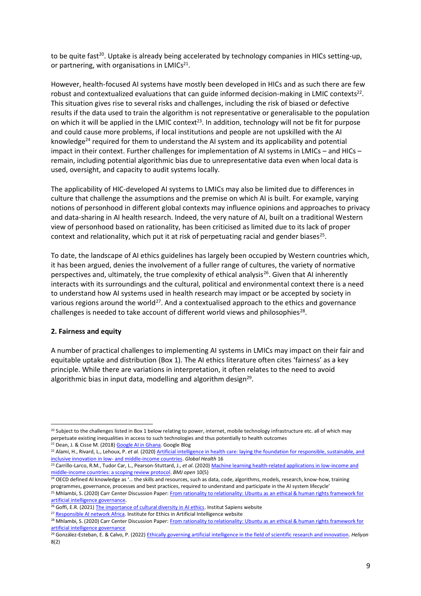to be quite fast<sup>20</sup>. Uptake is already being accelerated by technology companies in HICs setting-up, or partnering, with organisations in LMICs<sup>21</sup>.

However, health-focused AI systems have mostly been developed in HICs and as such there are few robust and contextualized evaluations that can guide informed decision-making in LMIC contexts<sup>22</sup>. This situation gives rise to several risks and challenges, including the risk of biased or defective results if the data used to train the algorithm is not representative or generalisable to the population on which it will be applied in the LMIC context<sup>23</sup>. In addition, technology will not be fit for purpose and could cause more problems, if local institutions and people are not upskilled with the AI knowledge<sup>24</sup> required for them to understand the AI system and its applicability and potential impact in their context. Further challenges for implementation of AI systems in LMICs – and HICs – remain, including potential algorithmic bias due to unrepresentative data even when local data is used, oversight, and capacity to audit systems locally.

The applicability of HIC-developed AI systems to LMICs may also be limited due to differences in culture that challenge the assumptions and the premise on which AI is built. For example, varying notions of personhood in different global contexts may influence opinions and approaches to privacy and data-sharing in AI health research. Indeed, the very nature of AI, built on a traditional Western view of personhood based on rationality, has been criticised as limited due to its lack of proper context and relationality, which put it at risk of perpetuating racial and gender biases<sup>25</sup>.

To date, the landscape of AI ethics guidelines has largely been occupied by Western countries which, it has been argued, denies the involvement of a fuller range of cultures, the variety of normative perspectives and, ultimately, the true complexity of ethical analysis<sup>26</sup>. Given that AI inherently interacts with its surroundings and the cultural, political and environmental context there is a need to understand how AI systems used in health research may impact or be accepted by society in various regions around the world<sup>27</sup>. And a contextualised approach to the ethics and governance challenges is needed to take account of different world views and philosophies<sup>28</sup>.

#### **2. Fairness and equity**

A number of practical challenges to implementing AI systems in LMICs may impact on their fair and equitable uptake and distribution (Box 1). The AI ethics literature often cites 'fairness' as a key principle. While there are variations in interpretation, it often relates to the need to avoid algorithmic bias in input data, modelling and algorithm design<sup>29</sup>.

<sup>&</sup>lt;sup>20</sup> Subject to the challenges listed in Box 1 below relating to power, internet, mobile technology infrastructure etc. all of which may perpetuate existing inequalities in access to such technologies and thus potentially to health outcomes

<sup>&</sup>lt;sup>21</sup> Dean, J. & Cisse M. (2018) Google [AI in Ghana.](https://blog.google/around-the-globe/google-africa/google-ai-ghana) Google Blog

<sup>&</sup>lt;sup>22</sup> Alami, H., Rivard, L., Lehoux, P. *et al.* (2020) Artificial intelligence in health care: laying the foundation for responsible, sustainable, and inclusive innovation in low- [and middle-income countries.](https://globalizationandhealth.biomedcentral.com/articles/10.1186/s12992-020-00584-1) *Global Health* 16

<sup>23</sup> Carrillo-Larco, R.M., Tudor Car, L., Pearson-Stuttard, J., *et al*. (2020) [Machine learning health-related applications in low-income and](https://www.ncbi.nlm.nih.gov/pmc/articles/PMC7223147/)  [middle-income countries: a scoping review protocol.](https://www.ncbi.nlm.nih.gov/pmc/articles/PMC7223147/) *BMJ open* 10(5)

<sup>&</sup>lt;sup>24</sup> OECD defined AI knowledge as '... the skills and resources, such as data, code, algorithms, models, research, know-how, training programmes, governance, processes and best practices, required to understand and participate in the AI system lifecycle'

<sup>&</sup>lt;sup>25</sup> Mhlambi, S. (2020) Carr Center Discussion Paper: From rationality to relationality: Ubuntu as an ethical & human rights framework for [artificial intelligence governance.](https://carrcenter.hks.harvard.edu/files/cchr/files/ccdp_2020-009_sabelo_b.pdf) 

<sup>&</sup>lt;sup>26</sup> Goffi, E.R. (2021[\) The importance of cultural diversity in AI ethics.](https://www.institutsapiens.fr/the-importance-of-cultural-diversity-in-ai-ethics/) Institut Sapiens website

<sup>&</sup>lt;sup>27</sup> [Responsible AI network Africa.](https://ieai.mcts.tum.de/responsible-ai-in-africa-network/) Institute for Ethics in Artificial Intelligence website

<sup>&</sup>lt;sup>28</sup> Mhlambi, S. (2020) Carr Center Discussion Paper: From rationality to relationality: Ubuntu as an ethical & human rights framework for [artificial intelligence governance](https://carrcenter.hks.harvard.edu/publications/rationality-relationality-ubuntu-ethical-and-human-rights-framework-artificial)

<sup>29</sup> González-Esteban, E. & Calvo, P. (2022) Ethically governing artificial [intelligence in the field of scientific research and innovation.](https://www.sciencedirect.com/science/article/pii/S2405844022002341) *Heliyon* 8(2)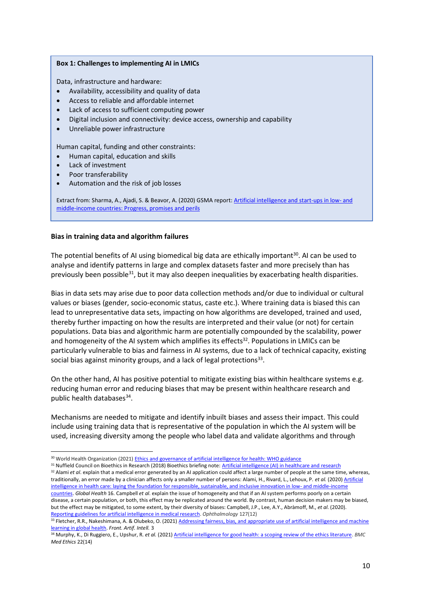#### **Box 1: Challenges to implementing AI in LMICs**

Data, infrastructure and hardware:

- Availability, accessibility and quality of data
- Access to reliable and affordable internet
- Lack of access to sufficient computing power
- Digital inclusion and connectivity: device access, ownership and capability
- Unreliable power infrastructure

Human capital, funding and other constraints:

- Human capital, education and skills
- Lack of investment
- Poor transferability
- Automation and the risk of job losses

Extract from: Sharma, A., Ajadi, S. & Beavor, A. (2020) GSMA report[: Artificial intelligence and start-ups in low-](https://www.gsma.com/mobilefordevelopment/wp-content/uploads/2020/10/Artificial-Intelligence-and-Start-Ups-in-Low-and-Middle-Income-Countries-Progress-Promises-Perils-Final.pdf) and [middle-income countries: Progress, promises and perils](https://www.gsma.com/mobilefordevelopment/wp-content/uploads/2020/10/Artificial-Intelligence-and-Start-Ups-in-Low-and-Middle-Income-Countries-Progress-Promises-Perils-Final.pdf)

#### **Bias in training data and algorithm failures**

The potential benefits of AI using biomedical big data are ethically important<sup>30</sup>. AI can be used to analyse and identify patterns in large and complex datasets faster and more precisely than has previously been possible<sup>31</sup>, but it may also deepen inequalities by exacerbating health disparities.

Bias in data sets may arise due to poor data collection methods and/or due to individual or cultural values or biases (gender, socio-economic status, caste etc.). Where training data is biased this can lead to unrepresentative data sets, impacting on how algorithms are developed, trained and used, thereby further impacting on how the results are interpreted and their value (or not) for certain populations. Data bias and algorithmic harm are potentially compounded by the scalability, power and homogeneity of the AI system which amplifies its effects<sup>32</sup>. Populations in LMICs can be particularly vulnerable to bias and fairness in AI systems, due to a lack of technical capacity, existing social bias against minority groups, and a lack of legal protections<sup>33</sup>.

On the other hand, AI has positive potential to mitigate existing bias within healthcare systems e.g. reducing human error and reducing biases that may be present within healthcare research and public health databases<sup>34</sup>.

Mechanisms are needed to mitigate and identify inbuilt biases and assess their impact. This could include using training data that is representative of the population in which the AI system will be used, increasing diversity among the people who label data and validate algorithms and through

31 Nuffield Council on Bioethics in Research (2018) Bioethics briefing note[: Artificial intelligence \(AI\) in healthcare and research](https://www.nuffieldbioethics.org/assets/pdfs/Artificial-Intelligence-AI-in-healthcare-and-research.pdf) <sup>32</sup> Alami *et al.* explain that a medical error generated by an AI application could affect a large number of people at the same time, whereas,

traditionally, an error made by a clinician affects only a smaller number of persons: Alami, H., Rivard, L., Lehoux, P. *et al.* (2020) [Artificial](https://globalizationandhealth.biomedcentral.com/articles/10.1186/s12992-020-00584-1)  [intelligence in health care: laying the foundation for responsible, sustainable, and inclusive innovation in low-](https://globalizationandhealth.biomedcentral.com/articles/10.1186/s12992-020-00584-1) and middle-income [countries.](https://globalizationandhealth.biomedcentral.com/articles/10.1186/s12992-020-00584-1) *Global Health* 16. Campbell *et al*. explain the issue of homogeneity and that if an AI system performs poorly on a certain disease, a certain population, or both, this effect may be replicated around the world. By contrast, human decision makers may be biased, but the effect may be mitigated, to some extent, by their diversity of biases: Campbell, J.P., Lee, A.Y., Abràmoff, M., *et al*. (2020). [Reporting guidelines for artificial intelligence in medical research.](https://www.ncbi.nlm.nih.gov/pmc/articles/PMC7875521/) *Ophthalmology* 127(12)

33 Fletcher, R.R., Nakeshimana, A. & Olubeko, O. (2021) Addressing fairness, bias, and appropriate use of artificial intelligence and machine [learning in global health.](https://www.frontiersin.org/articles/10.3389/frai.2020.561802/full) *Front. Artif. Intell.* 3

<sup>30</sup> World Health Organization (2021[\) Ethics and governance of artificial intelligence for health: WHO guidance](https://www.who.int/publications/i/item/9789240029200)

<sup>34</sup> Murphy, K., Di Ruggiero, E., Upshur, R. *et al.* (2021[\) Artificial intelligence for good health: a scoping review of the ethics literature.](https://bmcmedethics.biomedcentral.com/articles/10.1186/s12910-021-00577-8) *BMC Med Ethics* 22(14)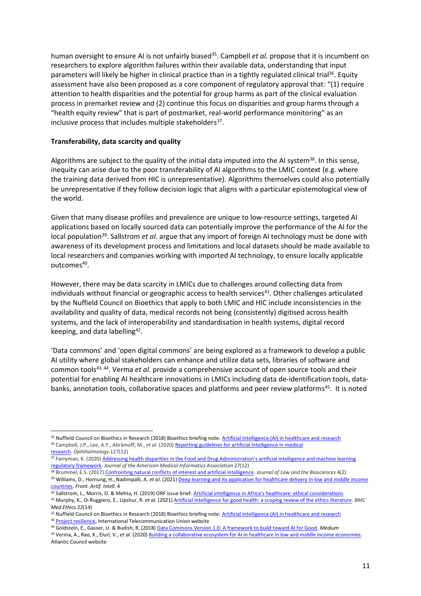human oversight to ensure AI is not unfairly biased<sup>35</sup>. Campbell *et al*. propose that it is incumbent on researchers to explore algorithm failures within their available data, understanding that input parameters will likely be higher in clinical practice than in a tightly regulated clinical trial<sup>36</sup>. Equity assessment have also been proposed as a core component of regulatory approval that: "(1) require attention to health disparities and the potential for group harms as part of the clinical evaluation process in premarket review and (2) continue this focus on disparities and group harms through a "health equity review" that is part of postmarket, real-world performance monitoring" as an inclusive process that includes multiple stakeholders<sup>37</sup>.

#### **Transferability, data scarcity and quality**

Algorithms are subject to the quality of the initial data imputed into the AI system<sup>38</sup>. In this sense, inequity can arise due to the poor transferability of AI algorithms to the LMIC context (e.g. where the training data derived from HIC is unrepresentative). Algorithms themselves could also potentially be unrepresentative if they follow decision logic that aligns with a particular epistemological view of the world.

Given that many disease profiles and prevalence are unique to low-resource settings, targeted AI applications based on locally sourced data can potentially improve the performance of the AI for the local population<sup>39</sup>. Sallstrom et al. argue that any import of foreign AI technology must be done with awareness of its development process and limitations and local datasets should be made available to local researchers and companies working with imported AI technology, to ensure locally applicable outcomes<sup>40</sup>.

However, there may be data scarcity in LMICs due to challenges around collecting data from individuals without financial or geographic access to health services<sup>41</sup>. Other challenges articulated by the Nuffield Council on Bioethics that apply to both LMIC and HIC include inconsistencies in the availability and quality of data, medical records not being (consistently) digitised across health systems, and the lack of interoperability and standardisation in health systems, digital record keeping, and data labelling<sup>42</sup>.

'Data commons' and 'open digital commons' are being explored as a framework to develop a public AI utility where global stakeholders can enhance and utilize data sets, libraries of software and common tools<sup>43, 44</sup>. Verma *et al*. provide a comprehensive account of open source tools and their potential for enabling AI healthcare innovations in LMICs including data de-identification tools, databanks, annotation tools, collaborative spaces and platforms and peer review platforms<sup>45</sup>. It is noted

<sup>44</sup> Goldstein, E., Gasser, U. & Budish, R. (2018[\) Data Commons Version 1.0: A framework to build toward AI for Good.](https://medium.com/berkman-klein-center/data-commons-version-1-0-a-framework-to-build-toward-ai-for-good-73414d7e72be) *Medium*

<sup>35</sup> Nuffield Council on Bioethics in Research (2018) Bioethics briefing note[: Artificial intelligence \(AI\) in healthcare and research](https://www.nuffieldbioethics.org/assets/pdfs/Artificial-Intelligence-AI-in-healthcare-and-research.pdf) <sup>36</sup> Campbell, J.P., Lee, A.Y., Abràmoff, M., *et al*. (2020[\) Reporting guidelines for artificial intelligence in medical](https://www.ncbi.nlm.nih.gov/pmc/articles/PMC7875521/)  [research.](https://www.ncbi.nlm.nih.gov/pmc/articles/PMC7875521/) *Ophthalmology* 127(12)

<sup>37</sup> Ferryman, K. (2020) Addressing health disparities in the Food and Drug Administration's artificial intelligence and machine learning [regulatory framework.](https://academic.oup.com/jamia/article/27/12/2016/5909194) *Journal of the American Medical Informatics Association* 27(12)

<sup>38</sup> Brummel, E.S. (2017) [Confronting natural conflicts of interest and artificial intelligence.](https://academic.oup.com/jlb/article/4/2/435/4265565) *Journal of Law and the Biosciences* 4(2)

<sup>39</sup> Williams, D., Hornung, H., Nadimpalli, A. *et al*. (2021[\) Deep learning and its application for healthcare delivery in low and middle income](https://www.frontiersin.org/articles/10.3389/frai.2021.553987/full)  [countries.](https://www.frontiersin.org/articles/10.3389/frai.2021.553987/full) *Front. Artif. Intell.* 4

<sup>40</sup> Sallstrom, L., Morris, O. & Mehta, H. (2019) ORF issue brief: Artif[icial intelligence in Africa's healthcare: ethical considerations](https://www.orfonline.org/wp-content/uploads/2019/09/ORF_Issue_Brief_312_AI-Health-Africa.pdf) <sup>41</sup> Murphy, K., Di Ruggiero, E., Upshur, R. *et al.* (2021[\) Artificial intelligence for good health: a scoping review of the ethics literature.](https://bmcmedethics.biomedcentral.com/articles/10.1186/s12910-021-00577-8) *BMC Med Ethics* 22(14)

<sup>42</sup> Nuffield Council on Bioethics in Research (2018) Bioethics briefing note[: Artificial intelligence \(AI\) in healthcare and research](https://www.nuffieldbioethics.org/assets/pdfs/Artificial-Intelligence-AI-in-healthcare-and-research.pdf) <sup>43</sup> [Project resilience,](https://www.itu.int/en/ITU-T/extcoop/ai-data-commons/Pages/project-resilience.aspx) International Telecommunication Union website

<sup>45</sup> Verma, A., Rao, K., Eluri, V., *et al*. (2020[\) Building a collaborative ecosystem for AI in healthcare in low and middle income economies.](https://www.atlanticcouncil.org/content-series/smart-partnerships/building-a-collaborative-ecosystem-for-ai-in-healthcare-in-low-and-middle-income-economies/)  Atlantic Council website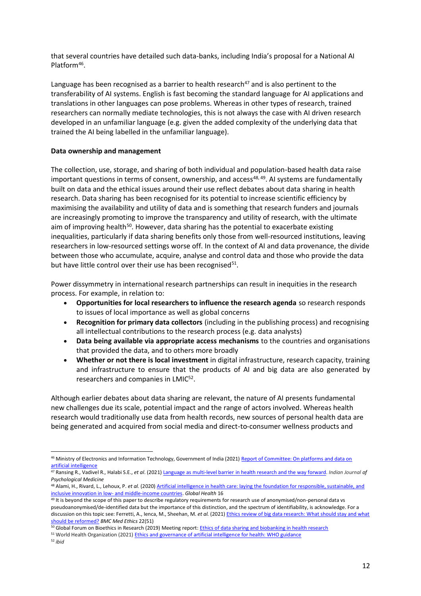that several countries have detailed such data-banks, including India's proposal for a National AI Platform<sup>46</sup>.

Language has been recognised as a barrier to health research<sup>47</sup> and is also pertinent to the transferability of AI systems. English is fast becoming the standard language for AI applications and translations in other languages can pose problems. Whereas in other types of research, trained researchers can normally mediate technologies, this is not always the case with AI driven research developed in an unfamiliar language (e.g. given the added complexity of the underlying data that trained the AI being labelled in the unfamiliar language).

# **Data ownership and management**

The collection, use, storage, and sharing of both individual and population-based health data raise important questions in terms of consent, ownership, and access<sup>48, 49</sup>. AI systems are fundamentally built on data and the ethical issues around their use reflect debates about data sharing in health research. Data sharing has been recognised for its potential to increase scientific efficiency by maximising the availability and utility of data and is something that research funders and journals are increasingly promoting to improve the transparency and utility of research, with the ultimate aim of improving health<sup>50</sup>. However, data sharing has the potential to exacerbate existing inequalities, particularly if data sharing benefits only those from well-resourced institutions, leaving researchers in low-resourced settings worse off. In the context of AI and data provenance, the divide between those who accumulate, acquire, analyse and control data and those who provide the data but have little control over their use has been recognised<sup>51</sup>.

Power dissymmetry in international research partnerships can result in inequities in the research process. For example, in relation to:

- **Opportunities for local researchers to influence the research agenda** so research responds to issues of local importance as well as global concerns
- **Recognition for primary data collectors** (including in the publishing process) and recognising all intellectual contributions to the research process (e.g. data analysts)
- **Data being available via appropriate access mechanisms** to the countries and organisations that provided the data, and to others more broadly
- **Whether or not there is local investment** in digital infrastructure, research capacity, training and infrastructure to ensure that the products of AI and big data are also generated by researchers and companies in LMIC<sup>52</sup>.

Although earlier debates about data sharing are relevant, the nature of AI presents fundamental new challenges due its scale, potential impact and the range of actors involved. Whereas health research would traditionally use data from health records, new sources of personal health data are being generated and acquired from social media and direct-to-consumer wellness products and

<sup>51</sup> World Health Organization (2021[\) Ethics and governance of artificial intelligence for health: WHO guidance](https://www.who.int/publications/i/item/9789240029200)

<sup>46</sup> Ministry of Electronics and Information Technology, Government of India (2021) Report of Committee: On platforms and data on [artificial intelligence](https://indiaai.gov.in/research-reports/report-of-committee-a-on-platforms-and-data-on-artificial-intelligence)

<sup>47</sup> Ransing R., Vadivel R., Halabi S.E., *et al*. (2021[\) Language as multi-level barrier in health research and the way forward.](https://journals.sagepub.com/doi/10.1177/02537176211052071) *Indian Journal of Psychological Medicine*

<sup>48</sup> Alami, H., Rivard, L., Lehoux, P. *et al.* (2020) Artificial intelligence in health care: laying the foundation for responsible, sustainable, and inclusive innovation in low- [and middle-income countries.](https://globalizationandhealth.biomedcentral.com/articles/10.1186/s12992-020-00584-1) *Global Health* 16

<sup>&</sup>lt;sup>49</sup> It is beyond the scope of this paper to describe regulatory requirements for research use of anonymised/non-personal data vs pseudoanonymised/de-identified data but the importance of this distinction, and the spectrum of identifiability, is acknowledge. For a discussion on this topic see: Ferretti, A., Ienca, M., Sheehan, M. *et al.* (2021[\) Ethics review of big data research: What should stay and what](https://bmcmedethics.biomedcentral.com/articles/10.1186/s12910-021-00616-4)  [should be reformed?](https://bmcmedethics.biomedcentral.com/articles/10.1186/s12910-021-00616-4) *BMC Med Ethics* 22(51)

<sup>&</sup>lt;sup>50</sup> Global Forum on Bioethics in Research (2019) Meeting report: Ethics of data sharing and [biobanking](https://www.gfbr.global/wp-content/uploads/2019/04/GFBR-2018-meeting-report-FINAL.pdf) in health research

<sup>52</sup> *ibid*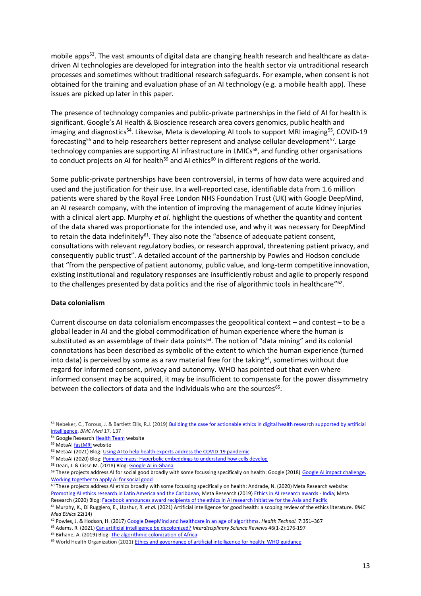mobile apps<sup>53</sup>. The vast amounts of digital data are changing health research and healthcare as datadriven AI technologies are developed for integration into the health sector via untraditional research processes and sometimes without traditional research safeguards. For example, when consent is not obtained for the training and evaluation phase of an AI technology (e.g. a mobile health app). These issues are picked up later in this paper.

The presence of technology companies and public-private partnerships in the field of AI for health is significant. Google's AI Health & Bioscience research area covers genomics, public health and imaging and diagnostics<sup>54</sup>. Likewise, Meta is developing AI tools to support MRI imaging<sup>55</sup>, COVID-19 forecasting<sup>56</sup> and to help researchers better represent and analyse cellular development<sup>57</sup>. Large technology companies are supporting AI infrastructure in LMICs<sup>58</sup>, and funding other organisations to conduct projects on AI for health<sup>59</sup> and AI ethics<sup>60</sup> in different regions of the world.

Some public-private partnerships have been controversial, in terms of how data were acquired and used and the justification for their use. In a well-reported case, identifiable data from 1.6 million patients were shared by the Royal Free London NHS Foundation Trust (UK) with Google DeepMind, an AI research company, with the intention of improving the management of acute kidney injuries with a clinical alert app. Murphy *et al*. highlight the questions of whether the quantity and content of the data shared was proportionate for the intended use, and why it was necessary for DeepMind to retain the data indefinitely<sup>61</sup>. They also note the "absence of adequate patient consent, consultations with relevant regulatory bodies, or research approval, threatening patient privacy, and consequently public trust". A detailed account of the partnership by Powles and Hodson conclude that "from the perspective of patient autonomy, public value, and long-term competitive innovation, existing institutional and regulatory responses are insufficiently robust and agile to properly respond to the challenges presented by data politics and the rise of algorithmic tools in healthcare"<sup>62</sup>.

#### **Data colonialism**

Current discourse on data colonialism encompasses the geopolitical context – and contest – to be a global leader in AI and the global commodification of human experience where the human is substituted as an assemblage of their data points<sup>63</sup>. The notion of "data mining" and its colonial connotations has been described as symbolic of the extent to which the human experience (turned into data) is perceived by some as a raw material free for the taking<sup>64</sup>, sometimes without due regard for informed consent, privacy and autonomy. WHO has pointed out that even where informed consent may be acquired, it may be insufficient to compensate for the power dissymmetry between the collectors of data and the individuals who are the sources<sup>65</sup>.

<sup>53</sup> Nebeker, C., Torous, J. & Bartlett Ellis, R.J. (2019) **Building the case for actionable ethics in digital health research supported by artificial** [intelligence.](https://bmcmedicine.biomedcentral.com/articles/10.1186/s12916-019-1377-7) *BMC Med* 17, 137

<sup>54</sup> Google Researc[h Health Team](https://research.google/teams/health/) website

<sup>&</sup>lt;sup>55</sup> MetaAI **fastMRI** website

<sup>&</sup>lt;sup>56</sup> MetaAI (2021) Blog[: Using AI to help health experts address the COVID-19 pandemic](https://ai.facebook.com/blog/using-ai-to-help-health-experts-address-the-covid-19-pandemic/)

<sup>&</sup>lt;sup>57</sup> MetaAI (2020) Blog: Poincaré [maps: Hyperbolic embeddings to understand how cells develop](https://ai.facebook.com/blog/poincare-maps-hyperbolic-embeddings-to-understand-how-cells-develop/)

<sup>58</sup> Dean, J. & Cisse M. (2018) Blog: [Google AI in Ghana](https://blog.google/around-the-globe/google-africa/google-ai-ghana)

<sup>&</sup>lt;sup>59</sup> These projects address AI for social good broadly with some focussing specifically on health: Google (2018) Google AI impact challenge. [Working together to apply AI for social good](https://impactchallenge.withgoogle.com/ai2018)

<sup>60</sup> These projects address AI ethics broadly with some focussing specifically on health: Andrade, N. (2020) Meta Research website: [Promoting AI ethics research in Latin America and the Caribbean;](https://research.facebook.com/blog/2020/7/promoting-ai-ethics-research-in-latin-america-and-the-caribbean) Meta Research (2019[\) Ethics in AI research awards -](https://research.facebook.com/research-awards/ethics-in-ai-research-awards-india/) India; Meta Research (2020) Blog[: Facebook announces award recipients of the ethics in AI research initiative for the Asia and Pacific](https://research.facebook.com/blog/2020/6/facebook-announces-award-recipients-of-the-ethics-in-ai-research-initiative-for-the-asia-pacific/)

<sup>61</sup> Murphy, K., Di Ruggiero, E., Upshur, R. *et al.* (2021[\) Artificial intelligence for good health: a scoping review of the ethics literature.](https://bmcmedethics.biomedcentral.com/articles/10.1186/s12910-021-00577-8) *BMC Med Ethics* 22(14)

<sup>62</sup> Powles, J. & Hodson, H. (2017) [Google DeepMind and healthcare in an age of algorithms.](https://link.springer.com/article/10.1007/s12553-017-0179-1) *Health Technol.* 7:351–367

<sup>63</sup> Adams, R. (2021) [Can artificial intelligence be decolonized?](https://www.tandfonline.com/doi/full/10.1080/03080188.2020.1840225) *Interdisciplinary Science Reviews* 46(1-2):176-197 <sup>64</sup> Birhane, A. (2019) Blog[: The algorithmic colonization of Africa](https://abebabirhane.wordpress.com/)

<sup>65</sup> World Health Organization (2021[\) Ethics and governance of artificial intelligence for health: WHO guidance](https://www.who.int/publications/i/item/9789240029200)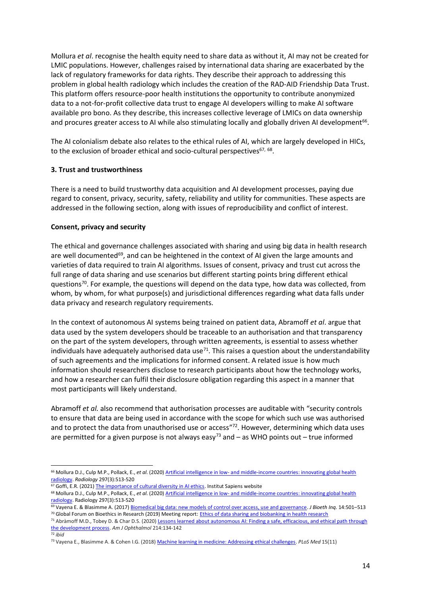Mollura *et al*. recognise the health equity need to share data as without it, AI may not be created for LMIC populations. However, challenges raised by international data sharing are exacerbated by the lack of regulatory frameworks for data rights. They describe their approach to addressing this problem in global health radiology which includes the creation of the RAD-AID Friendship Data Trust. This platform offers resource-poor health institutions the opportunity to contribute anonymized data to a not-for-profit collective data trust to engage AI developers willing to make AI software available pro bono. As they describe, this increases collective leverage of LMICs on data ownership and procures greater access to AI while also stimulating locally and globally driven AI development<sup>66</sup>.

The AI colonialism debate also relates to the ethical rules of AI, which are largely developed in HICs, to the exclusion of broader ethical and socio-cultural perspectives $^{67,68}$ .

# **3. Trust and trustworthiness**

There is a need to build trustworthy data acquisition and AI development processes, paying due regard to consent, privacy, security, safety, reliability and utility for communities. These aspects are addressed in the following section, along with issues of reproducibility and conflict of interest.

# **Consent, privacy and security**

The ethical and governance challenges associated with sharing and using big data in health research are well documented<sup>69</sup>, and can be heightened in the context of AI given the large amounts and varieties of data required to train AI algorithms. Issues of consent, privacy and trust cut across the full range of data sharing and use scenarios but different starting points bring different ethical questions<sup>70</sup>. For example, the questions will depend on the data type, how data was collected, from whom, by whom, for what purpose(s) and jurisdictional differences regarding what data falls under data privacy and research regulatory requirements.

In the context of autonomous AI systems being trained on patient data, Abramoff *et al*. argue that data used by the system developers should be traceable to an authorisation and that transparency on the part of the system developers, through written agreements, is essential to assess whether individuals have adequately authorised data use<sup>71</sup>. This raises a question about the understandability of such agreements and the implications for informed consent. A related issue is how much information should researchers disclose to research participants about how the technology works, and how a researcher can fulfil their disclosure obligation regarding this aspect in a manner that most participants will likely understand.

Abramoff *et al.* also recommend that authorisation processes are auditable with "security controls to ensure that data are being used in accordance with the scope for which such use was authorised and to protect the data from unauthorised use or access"<sup>72</sup>. However, determining which data uses are permitted for a given purpose is not always easy<sup>73</sup> and  $-$  as WHO points out  $-$  true informed

<sup>66</sup> Mollura D.J., Culp M.P., Pollack, E., *et al*. (2020) Artificial intelligence in low- [and middle-income countries: innovating global health](https://link.springer.com/article/10.1007/s13347-020-00428-1)  [radiology.](https://link.springer.com/article/10.1007/s13347-020-00428-1) *Radiology* 297(3):513-520

<sup>&</sup>lt;sup>67</sup> Goffi, E.R. (2021[\) The importance of cultural diversity in AI ethics.](https://www.institutsapiens.fr/the-importance-of-cultural-diversity-in-ai-ethics/) Institut Sapiens website

<sup>&</sup>lt;sup>68</sup> Mollura D.J., Culp M.P., Pollack, E., et al. (2020) Artificial intelligence in low- and middle-income countries: innovating global health [radiology.](https://link.springer.com/article/10.1007/s13347-020-00428-1) Radiology 297(3):513-520

<sup>69</sup> Vayena E. & Blasimme A. (2017[\) Biomedical big data: new models of control over access, use and governance.](https://pubmed.ncbi.nlm.nih.gov/28983835/) *J Bioeth Inq.* 14:501–513 70 Global Forum on Bioethics in Research (2019) Meeting report: Ethics of data sharing and [biobanking](https://www.gfbr.global/wp-content/uploads/2019/04/GFBR-2018-meeting-report-FINAL.pdf) in health research

<sup>71</sup> Abràmoff M.D., Tobey D. & Char D.S. (2020[\) Lessons learned about autonomous AI: Finding a safe, efficacious, and ethical path through](https://www.ajo.com/article/S0002-9394(20)30093-3/fulltext)  [the development process.](https://www.ajo.com/article/S0002-9394(20)30093-3/fulltext) *Am J Ophthalmol* 214:134-142

<sup>72</sup> *ibid*

<sup>73</sup> Vayena E., Blasimme A. & Cohen I.G. (2018[\) Machine learning in medicine: Addressing ethical challenges.](https://journals.plos.org/plosmedicine/article?id=10.1371/journal.pmed.1002689) *PLoS Med* 15(11)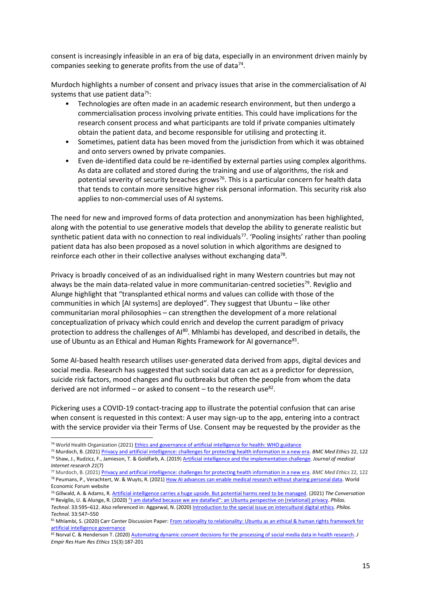consent is increasingly infeasible in an era of big data, especially in an environment driven mainly by companies seeking to generate profits from the use of data<sup>74</sup>.

Murdoch highlights a number of consent and privacy issues that arise in the commercialisation of AI systems that use patient data $75$ :

- Technologies are often made in an academic research environment, but then undergo a commercialisation process involving private entities. This could have implications for the research consent process and what participants are told if private companies ultimately obtain the patient data, and become responsible for utilising and protecting it.
- Sometimes, patient data has been moved from the jurisdiction from which it was obtained and onto servers owned by private companies.
- Even de-identified data could be re-identified by external parties using complex algorithms. As data are collated and stored during the training and use of algorithms, the risk and potential severity of security breaches grows<sup>76</sup>. This is a particular concern for health data that tends to contain more sensitive higher risk personal information. This security risk also applies to non-commercial uses of AI systems.

The need for new and improved forms of data protection and anonymization has been highlighted, along with the potential to use generative models that develop the ability to generate realistic but synthetic patient data with no connection to real individuals<sup>77</sup>. 'Pooling insights' rather than pooling patient data has also been proposed as a novel solution in which algorithms are designed to reinforce each other in their collective analyses without exchanging data<sup>78</sup>.

Privacy is broadly conceived of as an individualised right in many Western countries but may not always be the main data-related value in more communitarian-centred societies<sup>79</sup>. Reviglio and Alunge highlight that "transplanted ethical norms and values can collide with those of the communities in which [AI systems] are deployed". They suggest that Ubuntu – like other communitarian moral philosophies – can strengthen the development of a more relational conceptualization of privacy which could enrich and develop the current paradigm of privacy protection to address the challenges of AI<sup>80</sup>. Mhlambi has developed, and described in details, the use of Ubuntu as an Ethical and Human Rights Framework for AI governance<sup>81</sup>.

Some AI-based health research utilises user-generated data derived from apps, digital devices and social media. Research has suggested that such social data can act as a predictor for depression, suicide risk factors, mood changes and flu outbreaks but often the people from whom the data derived are not informed – or asked to consent – to the research use $^{82}$ .

Pickering uses a COVID-19 contact-tracing app to illustrate the potential confusion that can arise when consent is requested in this context: A user may sign-up to the app, entering into a contract with the service provider via their Terms of Use. Consent may be requested by the provider as the

<sup>74</sup> World Health Organization (2021[\) Ethics and governance of artificial intelligence for health: WHO guidance](https://www.who.int/publications/i/item/9789240029200)

<sup>75</sup> Murdoch, B. (2021[\) Privacy and artificial intelligence: challenges for protecting health information in a new era.](https://bmcmedethics.biomedcentral.com/articles/10.1186/s12910-021-00687-3) *BMC Med Ethics* 22, 122 <sup>76</sup> Shaw, J., Rudzicz, F., Jamieson, T. & Goldfarb, A. (2019[\) Artificial intelligence and the implementation challenge.](https://www.ncbi.nlm.nih.gov/pmc/articles/PMC6652121/) *Journal of medical Internet research 21*(7)

<sup>77</sup> Murdoch, B. (2021[\) Privacy and artificial intelligence: challenges for protecting health information in a new era.](https://bmcmedethics.biomedcentral.com/articles/10.1186/s12910-021-00687-3) *BMC Med Ethics* 22, 122 78 Peumans, P., Verachtert, W. & Wuyts, R. (2021) [How AI advances can enable medical research without sharing personal data.](https://www.weforum.org/agenda/2021/10/advances-ai-enable-medical-research-without-sharing-data/) World Economic Forum website

<sup>79</sup> Gillwald, A. & Adams, R[. Artificial intelligence carries a huge upside. But potential harms need to be managed.](https://theconversation.com/artificial-intelligence-carries-a-huge-upside-but-potential-harms-need-to-be-managed-173073) (2021) *The Conversation* <sup>80</sup> Reviglio, U. & Alunge, R. (2020) "I am datafied because we are datafied": an Ubuntu [perspective on \(relational\) privacy.](https://link.springer.com/article/10.1007/s13347-020-00407-6) *Philos. Technol.* 33:595–612. Also referenced in: Aggarwal, N. (2020[\) Introduction to the special issue on intercultural digital ethics.](https://link.springer.com/article/10.1007/s13347-020-00428-1) *Philos.* 

*Technol.* 33:547–550

<sup>81</sup> Mhlambi, S. (2020) Carr Center Discussion Paper: From rationality to relationality: Ubuntu as an ethical & human rights framework for [artificial intelligence governance](https://carrcenter.hks.harvard.edu/files/cchr/files/ccdp_2020-009_sabelo_b.pdf)

<sup>82</sup> Norval C. & Henderson T. (2020[\) Automating dynamic consent decisions for the processing of social media data in health research.](https://arxiv.org/pdf/1910.05265.pdf) *J Empir Res Hum Res Ethics* 15(3):187-201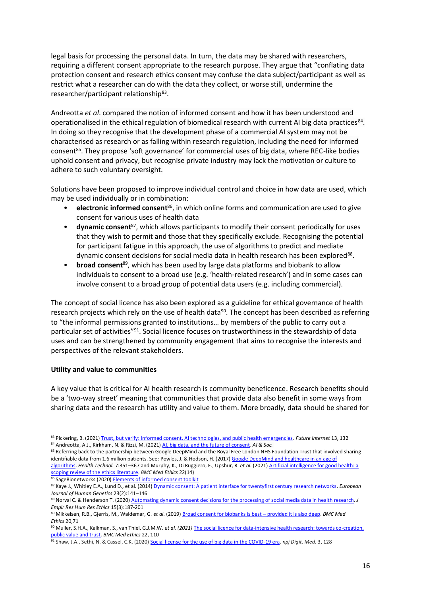legal basis for processing the personal data. In turn, the data may be shared with researchers, requiring a different consent appropriate to the research purpose. They argue that "conflating data protection consent and research ethics consent may confuse the data subject/participant as well as restrict what a researcher can do with the data they collect, or worse still, undermine the researcher/participant relationship<sup>83</sup>.

Andreotta *et al*. compared the notion of informed consent and how it has been understood and operationalised in the ethical regulation of biomedical research with current AI big data practices<sup>84</sup>. In doing so they recognise that the development phase of a commercial AI system may not be characterised as research or as falling within research regulation, including the need for informed consent<sup>85</sup>. They propose 'soft governance' for commercial uses of big data, where REC-like bodies uphold consent and privacy, but recognise private industry may lack the motivation or culture to adhere to such voluntary oversight.

Solutions have been proposed to improve individual control and choice in how data are used, which may be used individually or in combination:

- **electronic informed consent**<sup>86</sup>, in which online forms and communication are used to give consent for various uses of health data
- **dynamic consent**<sup>87</sup>, which allows participants to modify their consent periodically for uses that they wish to permit and those that they specifically exclude. Recognising the potential for participant fatigue in this approach, the use of algorithms to predict and mediate dynamic consent decisions for social media data in health research has been explored<sup>88</sup>.
- **broad consent**<sup>89</sup>, which has been used by large data platforms and biobank to allow individuals to consent to a broad use (e.g. 'health-related research') and in some cases can involve consent to a broad group of potential data users (e.g. including commercial).

The concept of social licence has also been explored as a guideline for ethical governance of health research projects which rely on the use of health data<sup>90</sup>. The concept has been described as referring to "the informal permissions granted to institutions… by members of the public to carry out a particular set of activities"<sup>91</sup>. Social licence focuses on trustworthiness in the stewardship of data uses and can be strengthened by community engagement that aims to recognise the interests and perspectives of the relevant stakeholders.

#### **Utility and value to communities**

A key value that is critical for AI health research is community beneficence. Research benefits should be a 'two-way street' meaning that communities that provide data also benefit in some ways from sharing data and the research has utility and value to them. More broadly, data should be shared for

86 SageBionetworks (2020[\) Elements of informed consent toolkit](https://sagebionetworks.org/tools_resources/elements-of-informed-consent/)

<sup>83</sup> Pickering, B. (2021[\) Trust, but verify: Informed consent, AI technologies, and public health emergencies.](https://www.bigmedilytics.eu/wp-content/uploads/2021/05/futureinternet-13-00132.pdf) *Future Internet* 13, 132 <sup>84</sup> Andreotta, A.J., Kirkham, N. & Rizzi, M. (2021[\) AI, big data, and the future of consent.](https://link.springer.com/article/10.1007/s00146-021-01262-5) *AI & Soc.*

<sup>85</sup> Referring back to the partnership between Google DeepMind and the Royal Free London NHS Foundation Trust that involved sharing identifiable data from 1.6 million patients. See: Powles, J. & Hodson, H. (2017) Google DeepMind and healthcare in an age of [algorithms.](https://link.springer.com/article/10.1007/s12553-017-0179-1) *Health Technol.* 7:351–367 and Murphy, K., Di Ruggiero, E., Upshur, R. *et al.* (2021[\) Artificial intelligence for good health: a](https://bmcmedethics.biomedcentral.com/articles/10.1186/s12910-021-00577-8)  [scoping review of the ethics literature.](https://bmcmedethics.biomedcentral.com/articles/10.1186/s12910-021-00577-8) *BMC Med Ethics* 22(14)

<sup>87</sup> Kaye J., Whitley E.A., Lund D., et al. (2014[\) Dynamic consent: A patient interface for twentyfirst century research networks.](https://www.nature.com/articles/ejhg201471) *European Journal of Human Genetics* 23(2):141–146

<sup>88</sup> Norval C. & Henderson T. (2020[\) Automating dynamic consent decisions for the processing of social media data in health research.](https://arxiv.org/pdf/1910.05265.pdf) *J Empir Res Hum Res Ethics* 15(3):187-201

<sup>89</sup> Mikkelsen, R.B., Gjerris, M., Waldemar, G. *et al*. (2019) [Broad consent for biobanks is best](https://bmcmedethics.biomedcentral.com/articles/10.1186/s12910-019-0414-6) – provided it is also deep. *BMC Med Ethics* 20,71

<sup>90</sup> Muller, S.H.A., Kalkman, S., van Thiel, G.J.M.W. *et al. (2021)* [The social licence for data-intensive health research: towards co-creation,](https://bmcmedethics.biomedcentral.com/articles/10.1186/s12910-021-00677-5)  [public value and trust.](https://bmcmedethics.biomedcentral.com/articles/10.1186/s12910-021-00677-5) *BMC Med Ethics* 22, 110

<sup>91</sup> Shaw, J.A., Sethi, N. & Cassel, C.K. (2020[\) Social license for the use of big data in the COVID-19 era.](https://www.nature.com/articles/s41746-020-00342-y) *npj Digit. Med.* 3**,** 128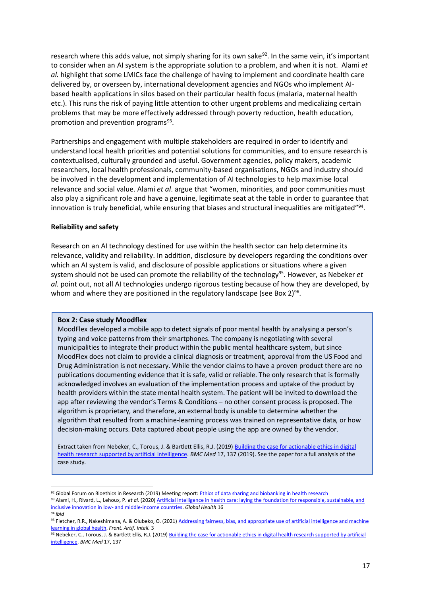research where this adds value, not simply sharing for its own sake<sup>92</sup>. In the same vein, it's important to consider when an AI system is the appropriate solution to a problem, and when it is not. Alami *et al.* highlight that some LMICs face the challenge of having to implement and coordinate health care delivered by, or overseen by, international development agencies and NGOs who implement AIbased health applications in silos based on their particular health focus (malaria, maternal health etc.). This runs the risk of paying little attention to other urgent problems and medicalizing certain problems that may be more effectively addressed through poverty reduction, health education, promotion and prevention programs<sup>93</sup>.

Partnerships and engagement with multiple stakeholders are required in order to identify and understand local health priorities and potential solutions for communities, and to ensure research is contextualised, culturally grounded and useful. Government agencies, policy makers, academic researchers, local health professionals, community-based organisations, NGOs and industry should be involved in the development and implementation of AI technologies to help maximise local relevance and social value. Alami *et al*. argue that "women, minorities, and poor communities must also play a significant role and have a genuine, legitimate seat at the table in order to guarantee that innovation is truly beneficial, while ensuring that biases and structural inequalities are mitigated"<sup>94</sup>.

#### **Reliability and safety**

Research on an AI technology destined for use within the health sector can help determine its relevance, validity and reliability. In addition, disclosure by developers regarding the conditions over which an AI system is valid, and disclosure of possible applications or situations where a given system should not be used can promote the reliability of the technology<sup>95</sup>. However, as Nebeker *et al.* point out, not all AI technologies undergo rigorous testing because of how they are developed, by whom and where they are positioned in the regulatory landscape (see Box 2)<sup>96</sup>.

#### **Box 2: Case study Moodflex**

MoodFlex developed a mobile app to detect signals of poor mental health by analysing a person's typing and voice patterns from their smartphones. The company is negotiating with several municipalities to integrate their product within the public mental healthcare system, but since MoodFlex does not claim to provide a clinical diagnosis or treatment, approval from the US Food and Drug Administration is not necessary. While the vendor claims to have a proven product there are no publications documenting evidence that it is safe, valid or reliable. The only research that is formally acknowledged involves an evaluation of the implementation process and uptake of the product by health providers within the state mental health system. The patient will be invited to download the app after reviewing the vendor's Terms & Conditions – no other consent process is proposed. The algorithm is proprietary, and therefore, an external body is unable to determine whether the algorithm that resulted from a machine-learning process was trained on representative data, or how decision-making occurs. Data captured about people using the app are owned by the vendor.

Extract taken from Nebeker, C., Torous, J. & Bartlett Ellis, R.J. (2019[\) Building the case for actionable ethics in digital](https://bmcmedicine.biomedcentral.com/articles/10.1186/s12916-019-1377-7)  [health research supported by artificial intelligence.](https://bmcmedicine.biomedcentral.com/articles/10.1186/s12916-019-1377-7) *BMC Med* 17, 137 (2019). See the paper for a full analysis of the case study.

<sup>92</sup> Global Forum on Bioethics in Research (2019) Meeting report: Ethics of data sharing and [biobanking](https://www.gfbr.global/wp-content/uploads/2019/04/GFBR-2018-meeting-report-FINAL.pdf) in health research

<sup>93</sup> Alami, H., Rivard, L., Lehoux, P. et al. (2020) Artificial intelligence in health care: laying the foundation for responsible, sustainable, and inclusive innovation in low- [and middle-income countries.](https://globalizationandhealth.biomedcentral.com/articles/10.1186/s12992-020-00584-1) *Global Health* 16

<sup>94</sup> *ibid*

<sup>95</sup> Fletcher, R.R., Nakeshimana, A. & Olubeko, O. (2021) Addressing fairness, bias, and appropriate use of artificial intelligence and machine learning [in global health.](https://www.frontiersin.org/articles/10.3389/frai.2020.561802/full) *Front. Artif. Intell.* 3

<sup>96</sup> Nebeker, C., Torous, J. & Bartlett Ellis, R.J. (2019) Building the case for actionable ethics in digital health research supported by artificial [intelligence.](https://bmcmedicine.biomedcentral.com/articles/10.1186/s12916-019-1377-7) *BMC Med* 17**,** 137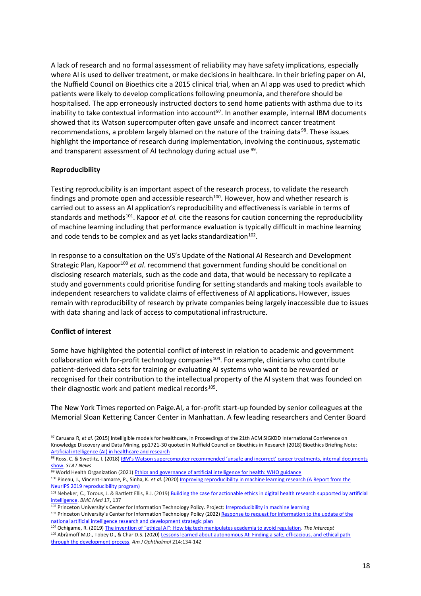A lack of research and no formal assessment of reliability may have safety implications, especially where AI is used to deliver treatment, or make decisions in healthcare. In their briefing paper on AI, the Nuffield Council on Bioethics cite a 2015 clinical trial, when an AI app was used to predict which patients were likely to develop complications following pneumonia, and therefore should be hospitalised. The app erroneously instructed doctors to send home patients with asthma due to its inability to take contextual information into account<sup>97</sup>. In another example, internal IBM documents showed that its Watson supercomputer often gave unsafe and incorrect cancer treatment recommendations, a problem largely blamed on the nature of the training data<sup>98</sup>. These issues highlight the importance of research during implementation, involving the continuous, systematic and transparent assessment of AI technology during actual use <sup>99</sup>.

# **Reproducibility**

Testing reproducibility is an important aspect of the research process, to validate the research findings and promote open and accessible research $100$ . However, how and whether research is carried out to assess an AI application's reproducibility and effectiveness is variable in terms of standards and methods<sup>101</sup>. Kapoor *et al.* cite the reasons for caution concerning the reproducibility of machine learning including that performance evaluation is typically difficult in machine learning and code tends to be complex and as yet lacks standardization $^{102}$ .

In response to a consultation on the US's Update of the National AI Research and Development Strategic Plan, Kapoor<sup>103</sup> *et al*. recommend that government funding should be conditional on disclosing research materials, such as the code and data, that would be necessary to replicate a study and governments could prioritise funding for setting standards and making tools available to independent researchers to validate claims of effectiveness of AI applications**.** However, issues remain with reproducibility of research by private companies being largely inaccessible due to issues with data sharing and lack of access to computational infrastructure.

#### **Conflict of interest**

Some have highlighted the potential conflict of interest in relation to academic and government collaboration with for-profit technology companies<sup>104</sup>. For example, clinicians who contribute patient-derived data sets for training or evaluating AI systems who want to be rewarded or recognised for their contribution to the intellectual property of the AI system that was founded on their diagnostic work and patient medical records<sup>105</sup>.

The New York Times reported on Paige.AI, a for-profit start-up founded by senior colleagues at the Memorial Sloan Kettering Cancer Center in Manhattan. A few leading researchers and Center Board

<sup>97</sup> Caruana R, *et al*. (2015) Intelligible models for healthcare, in Proceedings of the 21th ACM SIGKDD International Conference on Knowledge Discovery and Data Mining, pp1721-30 quoted in Nuffield Council on Bioethics in Research (2018) Bioethics Briefing Note: [Artificial intelligence \(AI\) in healthcare and research](https://www.nuffieldbioethics.org/assets/pdfs/Artificial-Intelligence-AI-in-healthcare-and-research.pdf)

<sup>98</sup> Ross, C. & Swetlitz, I. (2018) IBM's Watson supercomputer recommended 'unsafe and incorrect' cancer treatments, internal documents [show.](https://www.statnews.com/2018/07/25/ibm-watson-recommended-unsafe-incorrect-treatments/) *STAT News*

<sup>99</sup> World Health Organization (2021[\) Ethics and governance of artificial intelligence for health: WHO guidance](https://www.who.int/publications/i/item/9789240029200)

<sup>100</sup> Pineau, J., Vincent-Lamarre, P., Sinha, K. *et al*. (2020[\) Improving reproducibility in machine learning research \(A Report from the](https://arxiv.org/abs/2003.12206)  [NeurIPS 2019 reproducibility program\)](https://arxiv.org/abs/2003.12206)

<sup>101</sup> Nebeker, C., Torous, J. & Bartlett Ellis, R.J. (2019) Building the case for actionable ethics in digital health research supported by artificial [intelligence.](https://bmcmedicine.biomedcentral.com/articles/10.1186/s12916-019-1377-7) *BMC Med* 17**,** 137

<sup>102</sup> Princeton University's Center for Information Technology Policy. Project: [Irreproducibility in machine learning](https://reproducible.cs.princeton.edu/) 103 Princeton University's Center for Information Technology Policy (2022) Response to request for information to the update of the [national artificial intelligence research and development strategic](https://citpsite.s3.amazonaws.com/wp-content/uploads/2022/CITP+RFI-Update-National-Artificial-Intelligence-Research.pdf) plan

<sup>104</sup> Ochigame, R. (2019) [The invention of "ethical AI": How big tech manipulates academia to avoid regulation](https://theintercept.com/2019/12/20/mit-ethical-ai-artificial-intelligence/). *The Intercept* <sup>105</sup> Abràmoff M.D., Tobey D., & Char D.S. (2020[\) Lessons learned about autonomous AI: Finding a safe, efficacious, and ethical path](https://www.ajo.com/article/S0002-9394(20)30093-3/fulltext)  [through the development process.](https://www.ajo.com/article/S0002-9394(20)30093-3/fulltext) *Am J Ophthalmol* 214:134-142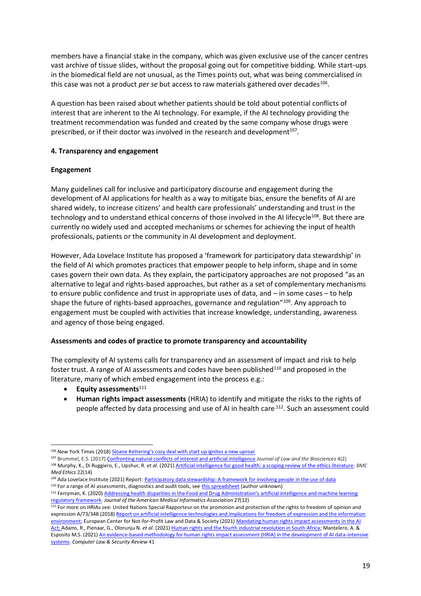members have a financial stake in the company, which was given exclusive use of the cancer centres vast archive of tissue slides, without the proposal going out for competitive bidding. While start-ups in the biomedical field are not unusual, as the Times points out, what was being commercialised in this case was not a product *per se* but access to raw materials gathered over decades<sup>106</sup>.

A question has been raised about whether patients should be told about potential conflicts of interest that are inherent to the AI technology. For example, if the AI technology providing the treatment recommendation was funded and created by the same company whose drugs were prescribed, or if their doctor was involved in the research and development<sup>107</sup>.

# **4. Transparency and engagement**

# **Engagement**

Many guidelines call for inclusive and participatory discourse and engagement during the development of AI applications for health as a way to mitigate bias, ensure the benefits of AI are shared widely, to increase citizens' and health care professionals' understanding and trust in the technology and to understand ethical concerns of those involved in the AI lifecycle<sup>108</sup>. But there are currently no widely used and accepted mechanisms or schemes for achieving the input of health professionals, patients or the community in AI development and deployment.

However, Ada Lovelace Institute has proposed a 'framework for participatory data stewardship' in the field of AI which promotes practices that empower people to help inform, shape and in some cases govern their own data. As they explain, the participatory approaches are not proposed "as an alternative to legal and rights-based approaches, but rather as a set of complementary mechanisms to ensure public confidence and trust in appropriate uses of data, and – in some cases – to help shape the future of rights-based approaches, governance and regulation"<sup>109</sup>. Any approach to engagement must be coupled with activities that increase knowledge, understanding, awareness and agency of those being engaged.

# **Assessments and codes of practice to promote transparency and accountability**

The complexity of AI systems calls for transparency and an assessment of impact and risk to help foster trust. A range of AI assessments and codes have been published<sup>110</sup> and proposed in the literature, many of which embed engagement into the process e.g.:

- **Equity assessments**<sup>111</sup>
- **Human rights impact assessments** (HRIA) to identify and mitigate the risks to the rights of people affected by data processing and use of AI in health care <sup>112</sup>. Such an assessment could

<sup>106</sup> New York Times (2018) [Sloane Kettering's cozy deal with start up ignites a new uproar](https://www.nytimes.com/2018/09/20/health/memorial-sloan-kettering-cancer-paige-ai.html)

<sup>107</sup> Brummel, E.S. (2017[\) Confronting natural conflicts of interest and artificial intelligence](https://academic.oup.com/jlb/article/4/2/435/4265565) *Journal of Law and the Biosciences* 4(2) <sup>108</sup> Murphy, K., Di Ruggiero, E., Upshur, R. *et al.* (2021[\) Artificial intelligence for good health: a scoping review of the ethics literature.](https://bmcmedethics.biomedcentral.com/articles/10.1186/s12910-021-00577-8) *BMC Med Ethics* 22(14)

<sup>109</sup> Ada Lovelace Institute (2021) Report[: Participatory data stewardship: A framework for involving people in the use of data](https://www.adalovelaceinstitute.org/report/participatory-data-stewardship/) <sup>110</sup> For a range of AI assessments, diagnostics and audit tools, see [this spreadsheet](https://docs.google.com/spreadsheets/d/1mtqsCBQ_Z0m91Jq_wcQlWWlzHuT24DfLH_kKAm9aOjQ) (author unknown)

<sup>111</sup> Ferryman, K. (2020) Addressing health disparities in the Food and Drug Administration's artificial intelligence and machine learning [regulatory framework.](https://academic.oup.com/jamia/article/27/12/2016/5909194) *Journal of the American Medical Informatics Association* 27(12)

<sup>112</sup> For more on HRIAs see: United Nations Special Rapporteur on the promotion and protection of the rights to freedom of opinion and expression A/73/348 (2018[\) Report on artificial intelligence technologies and implications for freedom of expression and the information](https://www.ohchr.org/en/calls-for-input/reports/2018/report-artificial-intelligence-technologies-and-implications-freedom)  [environment;](https://www.ohchr.org/en/calls-for-input/reports/2018/report-artificial-intelligence-technologies-and-implications-freedom) European Center for Not-for-Profit Law and Data & Society (2021[\) Mandating human rights impact assessments in the AI](https://ecnl.org/sites/default/files/2021-11/HRIA%20paper%20ECNL%20and%20Data%20Society.pdf)  [Act;](https://ecnl.org/sites/default/files/2021-11/HRIA%20paper%20ECNL%20and%20Data%20Society.pdf) Adams, R., Pienaar, G., Olorunju N. *et al*. (2021[\) Human rights and the fourth industrial revolution in South Africa;](https://www.hsrcpress.ac.za/books/human-rights-and-the-fourth-industrial-revolution-in-south-africa) Mantelero, A. & Esposito M.S. (2021[\) An evidence-based methodology for human rights impact assessment \(HRIA\) in the development of AI data-intensive](https://www.sciencedirect.com/science/article/pii/S0267364921000340)  [systems.](https://www.sciencedirect.com/science/article/pii/S0267364921000340) *Computer Law & Security Review* 41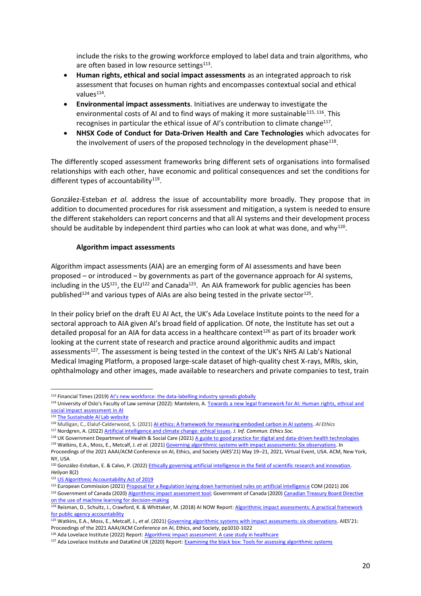include the risks to the growing workforce employed to label data and train algorithms, who are often based in low resource settings<sup>113</sup>.

- **Human rights, ethical and social impact assessments** as an integrated approach to risk assessment that focuses on human rights and encompasses contextual social and ethical values<sup>114</sup>.
- **Environmental impact assessments**. Initiatives are underway to investigate the environmental costs of AI and to find ways of making it more sustainable $115, 116$ . This recognises in particular the ethical issue of AI's contribution to climate change $^{117}$ .
- **NHSX Code of Conduct for Data-Driven Health and Care Technologies** which advocates for the involvement of users of the proposed technology in the development phase $^{118}$ .

The differently scoped assessment frameworks bring different sets of organisations into formalised relationships with each other, have economic and political consequences and set the conditions for different types of accountability<sup>119</sup>.

González-Esteban *et al.* address the issue of accountability more broadly. They propose that in addition to documented procedures for risk assessment and mitigation, a system is needed to ensure the different stakeholders can report concerns and that all AI systems and their development process should be auditable by independent third parties who can look at what was done, and why<sup>120</sup>.

# **Algorithm impact assessments**

Algorithm impact assessments (AIA) are an emerging form of AI assessments and have been proposed – or introduced – by governments as part of the governance approach for AI systems, including in the US<sup>121</sup>, the EU<sup>122</sup> and Canada<sup>123</sup>. An AIA framework for public agencies has been published<sup>124</sup> and various types of AIAs are also being tested in the private sector<sup>125</sup>.

In their policy brief on the draft EU AI Act, the UK's Ada Lovelace Institute points to the need for a sectoral approach to AIA given AI's broad field of application. Of note, the Institute has set out a detailed proposal for an AIA for data access in a healthcare context $126$  as part of its broader work looking at the current state of research and practice around algorithmic audits and impact assessments<sup>127</sup>. The assessment is being tested in the context of the UK's NHS AI Lab's National Medical Imaging Platform, a proposed large-scale dataset of high-quality chest X-rays, MRIs, skin, ophthalmology and other images, made available to researchers and private companies to test, train

<sup>113</sup> Financial Times (2019) Al's new workforce: the data[-labelling industry spreads globally](https://www.ft.com/content/56dde36c-aa40-11e9-984c-fac8325aaa04)

<sup>114</sup> University of Oslo's Faculty of Law seminar (2022): Mantelero, A. Towards a new legal framework for AI: Human rights, ethical and [social impact assessment in AI](https://www.jus.uio.no/ifp/english/research/projects/nrccl/viros/events/seminars/webinar-book.html)

<sup>115</sup> [The Sustainable AI Lab website](https://sustainable-ai.eu/)

<sup>116</sup> Mulligan, C., Elaluf-Calderwood, S. (2021[\) AI ethics: A framework for measuring embodied carbon in AI systems.](https://link.springer.com/article/10.1007/s43681-021-00071-2) *AI Ethics*

<sup>117</sup> Nordgren, A. (2022[\) Artificial intelligence and climate change: ethical issues.](https://www.emerald.com/insight/content/doi/10.1108/JICES-11-2021-0106/full/html) *J. Inf. Commun. Ethics Soc.*

<sup>118</sup> UK Government Department of Health & Social Care (2021) [A guide to good practice for digital and data-driven health technologies](https://www.gov.uk/government/publications/code-of-conduct-for-data-driven-health-and-care-technology/initial-code-of-conduct-for-data-driven-health-and-care-technology)

<sup>119</sup> Watkins, E.A., Moss, E., Metcalf, J. *et al*. (2021[\) Governing algorithmic systems with impact assessments: Six observations.](https://dl.acm.org/doi/pdf/10.1145/3461702.3462580) In Proceedings of the 2021 AAAI/ACM Conference on AI, Ethics, and Society (AIES'21) May 19–21, 2021, Virtual Event, USA. ACM, New York, NY, USA

<sup>120</sup> González-Esteban, E. & Calvo, P. (2022) Ethically governing artificial intelligence in the field of scientific research and innovation. *Heliyon* 8(2)

<sup>121</sup> [US Algorithmic Accountability Act of 2019](https://www.congress.gov/bill/116th-congress/house-bill/2231/all-info)

<sup>122</sup> European Commission (2021) [Proposal for a Regulation laying down harmonised rules on artificial intelligence](https://eur-lex.europa.eu/resource.html?uri=cellar:e0649735-a372-11eb-9585-01aa75ed71a1.0001.02/DOC_1&format=PDF) COM (2021) 206

<sup>123</sup> Government of Canada (2020) Algorithmic impact [assessment](https://www.canada.ca/en/government/system/digital-government/digital-government-innovations/responsible-use-ai/algorithmic-impact-assessment.html) tool; Government of Canada (2020) Canadian Treasury Board Directive [on the use of machine learning for decision-making](https://www.tbs-sct.canada.ca/pol/doc-eng.aspx?id=32592)

<sup>124</sup> Reisman, D., Schultz, J., Crawford, K. & Whittaker, M. (2018) AI NOW Report[: Algorithmic impact assessments: A practical framework](https://ainowinstitute.org/aiareport2018.pdf)  [for public agency accountability](https://ainowinstitute.org/aiareport2018.pdf)

<sup>125</sup> Watkins, E.A., Moss, E., Metcalf, J., *et al*. (2021[\) Governing algorithmic systems with impact assessments: six observations](https://dl.acm.org/doi/10.1145/3461702.3462580). AIES'21: Proceedings of the 2021 AAAI/ACM Conference on AI, Ethics, and Society, pp1010-1022

<sup>126</sup> Ada Lovelace Institute (2022) Report[: Algorithmic impact assessment: A case study in healthcare](https://www.adalovelaceinstitute.org/report/algorithmic-impact-assessment-case-study-healthcare/)

<sup>&</sup>lt;sup>127</sup> Ada Lovelace Institute and DataKind UK (2020) Report: **Examining the black box: Tools for assessing algorithmic systems**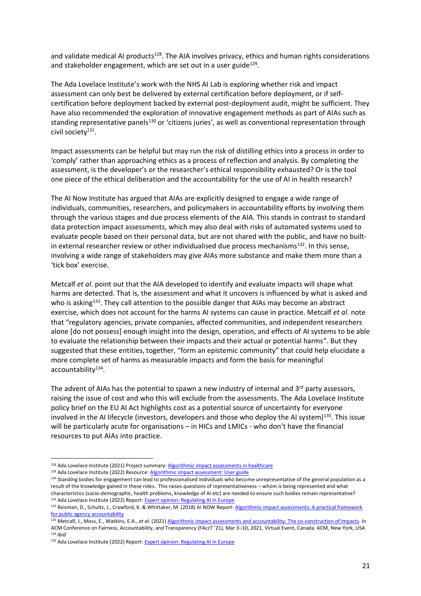and validate medical AI products<sup>128</sup>. The AIA involves privacy, ethics and human rights considerations and stakeholder engagement, which are set out in a user guide<sup>129</sup>.

The Ada Lovelace Institute's work with the NHS AI Lab is exploring whether risk and impact assessment can only best be delivered by external certification before deployment, or if selfcertification before deployment backed by external post-deployment audit, might be sufficient. They have also recommended the exploration of innovative engagement methods as part of AIAs such as standing representative panels<sup>130</sup> or 'citizens juries', as well as conventional representation through civil society<sup>131</sup>.

Impact assessments can be helpful but may run the risk of distilling ethics into a process in order to 'comply' rather than approaching ethics as a process of reflection and analysis. By completing the assessment, is the developer's or the researcher's ethical responsibility exhausted? Or is the tool one piece of the ethical deliberation and the accountability for the use of AI in health research?

The AI Now Institute has argued that AIAs are explicitly designed to engage a wide range of individuals, communities, researchers, and policymakers in accountability efforts by involving them through the various stages and due process elements of the AIA. This stands in contrast to standard data protection impact assessments, which may also deal with risks of automated systems used to evaluate people based on their personal data, but are not shared with the public, and have no builtin external researcher review or other individualised due process mechanisms<sup>132</sup>. In this sense, involving a wide range of stakeholders may give AIAs more substance and make them more than a 'tick box' exercise.

Metcalf *et al*. point out that the AIA developed to identify and evaluate impacts will shape what harms are detected. That is, the assessment and what it uncovers is influenced by what is asked and who is asking<sup>133</sup>. They call attention to the possible danger that AIAs may become an abstract exercise, which does not account for the harms AI systems can cause in practice. Metcalf *et al*. note that "regulatory agencies, private companies, affected communities, and independent researchers alone [do not possess] enough insight into the design, operation, and effects of AI systems to be able to evaluate the relationship between their impacts and their actual or potential harms". But they suggested that these entities, together, "form an epistemic community" that could help elucidate a more complete set of harms as measurable impacts and form the basis for meaningful accountability<sup>134</sup>.

The advent of AIAs has the potential to spawn a new industry of internal and 3<sup>rd</sup> party assessors, raising the issue of cost and who this will exclude from the assessments. The Ada Lovelace Institute policy brief on the EU AI Act highlights cost as a potential source of uncertainty for everyone involved in the AI lifecycle (investors, developers and those who deploy the AI system)<sup>135</sup>. This issue will be particularly acute for organisations – in HICs and LMICs - who don't have the financial resources to put AIAs into practice.

<sup>128</sup> Ada Lovelace Institute (2021) Project summary[: Algorithmic impact assessments in healthcare](https://www.adalovelaceinstitute.org/project/algorithmic-impact-assessment-healthcare/)

<sup>129</sup> Ada Lovelace Institute (2022) Resource[: Algorithmic impact assessment: User guide](https://www.adalovelaceinstitute.org/resource/aia-user-guide/)

<sup>130</sup> Standing bodies for engagement can lead to professionalised individuals who become unrepresentative of the general population as a result of the knowledge gained in these roles. This raises questions of representativeness – whom is being represented and what characteristics (socio-demographic, health problems, knowledge of AI etc) are needed to ensure such bodies remain representative? 131 Ada Lovelace Institute (2022) Report[: Expert opinion: Regulating AI in Europe](https://www.adalovelaceinstitute.org/report/regulating-ai-in-europe)

<sup>132</sup> Reisman, D., Schultz, J., Crawford, K. & Whittaker, M. (2018) AI NOW Report: Algorithmic impact assessments: A practical framework [for public agency accountability](https://ainowinstitute.org/aiareport2018.pdf)

<sup>133</sup> Metcalf, J., Moss, E., Watkins, E.A., *et al*. (2021[\) Algorithmic impact assessments and accountability: The co-construction of impacts.](https://dl.acm.org/doi/pdf/10.1145/3442188.3445935) In ACM Conference on Fairness, Accountability, and Transparency (FAccT '21), Mar 3–10, 2021, Virtual Event, Canada. ACM, New York, USA <sup>134</sup> *ibid*

<sup>135</sup> Ada Lovelace Institute (2022) Report[: Expert opinion: Regulating AI in Europe](https://www.adalovelaceinstitute.org/report/regulating-ai-in-europe)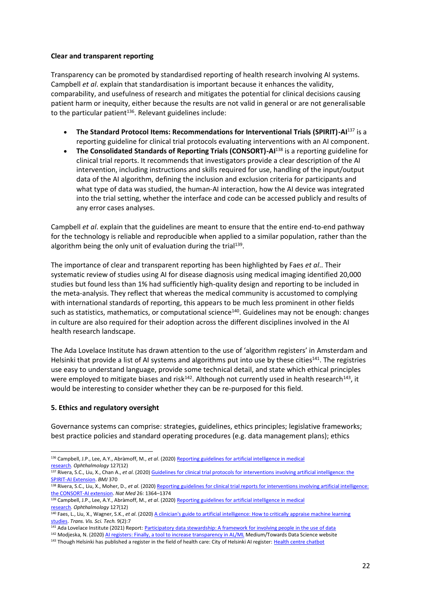#### **Clear and transparent reporting**

Transparency can be promoted by standardised reporting of health research involving AI systems. Campbell *et al*. explain that standardisation is important because it enhances the validity, comparability, and usefulness of research and mitigates the potential for clinical decisions causing patient harm or inequity, either because the results are not valid in general or are not generalisable to the particular patient<sup>136</sup>. Relevant guidelines include:

- **The Standard Protocol Items: Recommendations for Interventional Trials (SPIRIT)-AI**<sup>137</sup> is a reporting guideline for clinical trial protocols evaluating interventions with an AI component.
- **The Consolidated Standards of Reporting Trials (CONSORT)-AI**<sup>138</sup> is a reporting guideline for clinical trial reports. It recommends that investigators provide a clear description of the AI intervention, including instructions and skills required for use, handling of the input/output data of the AI algorithm, defining the inclusion and exclusion criteria for participants and what type of data was studied, the human-AI interaction, how the AI device was integrated into the trial setting, whether the interface and code can be accessed publicly and results of any error cases analyses.

Campbell *et al*. explain that the guidelines are meant to ensure that the entire end-to-end pathway for the technology is reliable and reproducible when applied to a similar population, rather than the algorithm being the only unit of evaluation during the trial<sup>139</sup>.

The importance of clear and transparent reporting has been highlighted by Faes *et al*.. Their systematic review of studies using AI for disease diagnosis using medical imaging identified 20,000 studies but found less than 1% had sufficiently high-quality design and reporting to be included in the meta-analysis. They reflect that whereas the medical community is accustomed to complying with international standards of reporting, this appears to be much less prominent in other fields such as statistics, mathematics, or computational science<sup>140</sup>. Guidelines may not be enough: changes in culture are also required for their adoption across the different disciplines involved in the AI health research landscape.

The Ada Lovelace Institute has drawn attention to the use of 'algorithm registers' in Amsterdam and Helsinki that provide a list of AI systems and algorithms put into use by these cities<sup>141</sup>. The registries use easy to understand language, provide some technical detail, and state which ethical principles were employed to mitigate biases and risk<sup>142</sup>. Although not currently used in health research<sup>143</sup>, it would be interesting to consider whether they can be re-purposed for this field.

# **5. Ethics and regulatory oversight**

Governance systems can comprise: strategies, guidelines, ethics principles; legislative frameworks; best practice policies and standard operating procedures (e.g. data management plans); ethics

<sup>136</sup> Campbell, J.P., Lee, A.Y., Abràmoff, M., *et al*. (2020[\) Reporting guidelines for artificial intelligence in medical](https://www.ncbi.nlm.nih.gov/pmc/articles/PMC7875521/)  [research.](https://www.ncbi.nlm.nih.gov/pmc/articles/PMC7875521/) *Ophthalmology* 127(12)

<sup>137</sup> Rivera, S.C., Liu, X., Chan A., *et al*. (2020) [Guidelines for clinical trial protocols for interventions involving artificial intelligence: the](https://www.bmj.com/content/370/bmj.m3210)  [SPIRIT-AI Extension.](https://www.bmj.com/content/370/bmj.m3210) *BMJ* 370

<sup>138</sup> Rivera, S.C., Liu, X., Moher, D., *et al*. (2020) [Reporting guidelines for clinical trial reports for interventions involving artificial intelligence:](https://www.nature.com/articles/s41591-020-1034-x)  [the CONSORT-AI extension.](https://www.nature.com/articles/s41591-020-1034-x) *Nat Med* 26: 1364–1374

<sup>139</sup> Campbell, J.P., Lee, A.Y., Abràmoff, M., *et al*. (2020[\) Reporting guidelines for artificial intelligence in medical](https://www.ncbi.nlm.nih.gov/pmc/articles/PMC7875521/)  [research.](https://www.ncbi.nlm.nih.gov/pmc/articles/PMC7875521/) *Ophthalmology* 127(12)

<sup>140</sup> Faes, L., Liu, X., Wagner, S.K., *et al*. (2020[\) A clinician's guide to artificial intelligence: How to critically appraise machine learning](https://tvst.arvojournals.org/article.aspx?articleid=2761237)  [studies.](https://tvst.arvojournals.org/article.aspx?articleid=2761237) *Trans. Vis. Sci. Tech.* 9(2):7

<sup>&</sup>lt;sup>141</sup> Ada Lovelace Institute (2021) Report[: Participatory data stewardship: A framework for involving people in the use of data](https://www.adalovelaceinstitute.org/report/participatory-data-stewardship/)

<sup>&</sup>lt;sup>142</sup> Modieska, N. (2020) [AI registers: Finally, a tool to increase transparency in AL/ML](https://towardsdatascience.com/ai-registers-finally-a-tool-to-increase-transparency-in-ai-ml-f5694b1e317d) Medium/Towards Data Science website

<sup>143</sup> Though Helsinki has published a register in the field of health care: City of Helsinki AI register: [Health centre chatbot](https://ai.hel.fi/en/health-center-chatbot/)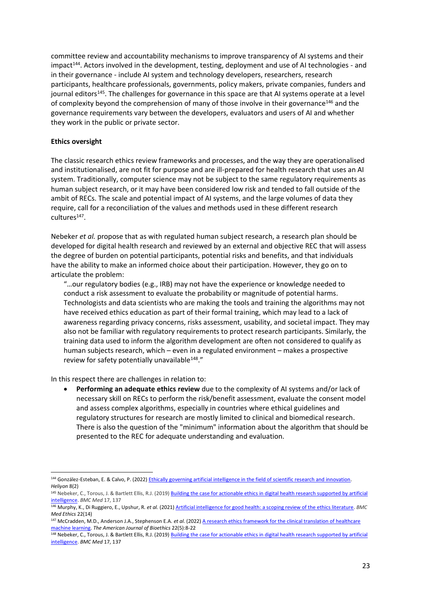committee review and accountability mechanisms to improve transparency of AI systems and their impact<sup>144</sup>. Actors involved in the development, testing, deployment and use of AI technologies - and in their governance - include AI system and technology developers, researchers, research participants, healthcare professionals, governments, policy makers, private companies, funders and journal editors<sup>145</sup>. The challenges for governance in this space are that AI systems operate at a level of complexity beyond the comprehension of many of those involve in their governance<sup>146</sup> and the governance requirements vary between the developers, evaluators and users of AI and whether they work in the public or private sector.

#### **Ethics oversight**

The classic research ethics review frameworks and processes, and the way they are operationalised and institutionalised, are not fit for purpose and are ill-prepared for health research that uses an AI system. Traditionally, computer science may not be subject to the same regulatory requirements as human subject research, or it may have been considered low risk and tended to fall outside of the ambit of RECs. The scale and potential impact of AI systems, and the large volumes of data they require, call for a reconciliation of the values and methods used in these different research cultures<sup>147</sup>.

Nebeker *et al.* propose that as with regulated human subject research, a research plan should be developed for digital health research and reviewed by an external and objective REC that will assess the degree of burden on potential participants, potential risks and benefits, and that individuals have the ability to make an informed choice about their participation. However, they go on to articulate the problem:

"…our regulatory bodies (e.g., IRB) may not have the experience or knowledge needed to conduct a risk assessment to evaluate the probability or magnitude of potential harms. Technologists and data scientists who are making the tools and training the algorithms may not have received ethics education as part of their formal training, which may lead to a lack of awareness regarding privacy concerns, risks assessment, usability, and societal impact. They may also not be familiar with regulatory requirements to protect research participants. Similarly, the training data used to inform the algorithm development are often not considered to qualify as human subjects research, which – even in a regulated environment – makes a prospective review for safety potentially unavailable<sup>148</sup>."

In this respect there are challenges in relation to:

• **Performing an adequate ethics review** due to the complexity of AI systems and/or lack of necessary skill on RECs to perform the risk/benefit assessment, evaluate the consent model and assess complex algorithms, especially in countries where ethical guidelines and regulatory structures for research are mostly limited to clinical and biomedical research. There is also the question of the "minimum" information about the algorithm that should be presented to the REC for adequate understanding and evaluation.

<sup>144</sup> González-Esteban, E. & Calvo, P. (2022) Ethically governing artificial intelligence in the field of scientific research and innovation. *Heliyon* 8(2)

<sup>145</sup> Nebeker, C., Torous, J. & Bartlett Ellis, R.J. (2019) Building the case for actionable ethics in digital health research supported by artificial [intelligence.](https://bmcmedicine.biomedcentral.com/articles/10.1186/s12916-019-1377-7) *BMC Med* 17, 137

<sup>146</sup> Murphy, K., Di Ruggiero, E., Upshur, R. *et al.* (2021[\) Artificial intelligence for good health: a scoping review of the ethics literature.](https://bmcmedethics.biomedcentral.com/articles/10.1186/s12910-021-00577-8) *BMC Med Ethics* 22(14)

<sup>147</sup> McCradden, M.D., Anderson J.A., Stephenson E.A. *et al*. (2022[\) A research ethics framework for the clinical translation of healthcare](https://www.tandfonline.com/doi/pdf/10.1080/15265161.2021.2013977)  [machine learning.](https://www.tandfonline.com/doi/pdf/10.1080/15265161.2021.2013977) *The American Journal of Bioethics* 22(5):8-22

<sup>148</sup> Nebeker, C., Torous, J. & Bartlett Ellis, R.J. (2019) Building the case for actionable ethics in digital health research supported by artificial [intelligence.](https://bmcmedicine.biomedcentral.com/articles/10.1186/s12916-019-1377-7) *BMC Med* 17, 137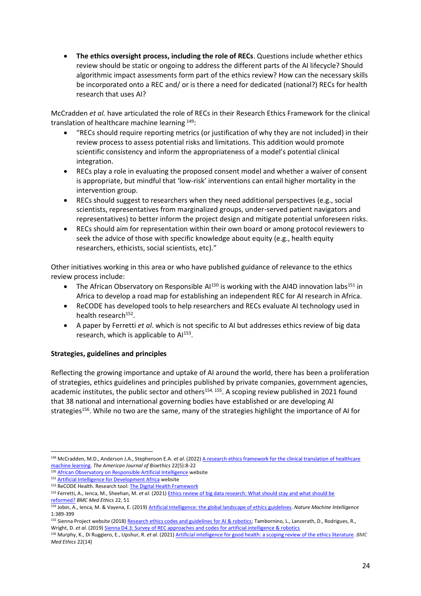• **The ethics oversight process, including the role of RECs**. Questions include whether ethics review should be static or ongoing to address the different parts of the AI lifecycle? Should algorithmic impact assessments form part of the ethics review? How can the necessary skills be incorporated onto a REC and/ or is there a need for dedicated (national?) RECs for health research that uses AI?

McCradden *et al.* have articulated the role of RECs in their Research Ethics Framework for the clinical translation of healthcare machine learning <sup>149</sup>:

- "RECs should require reporting metrics (or justification of why they are not included) in their review process to assess potential risks and limitations. This addition would promote scientific consistency and inform the appropriateness of a model's potential clinical integration.
- RECs play a role in evaluating the proposed consent model and whether a waiver of consent is appropriate, but mindful that 'low-risk' interventions can entail higher mortality in the intervention group.
- RECs should suggest to researchers when they need additional perspectives (e.g., social scientists, representatives from marginalized groups, under-served patient navigators and representatives) to better inform the project design and mitigate potential unforeseen risks.
- RECs should aim for representation within their own board or among protocol reviewers to seek the advice of those with specific knowledge about equity (e.g., health equity researchers, ethicists, social scientists, etc)."

Other initiatives working in this area or who have published guidance of relevance to the ethics review process include:

- The African Observatory on Responsible Al<sup>150</sup> is working with the AI4D innovation labs<sup>151</sup> in Africa to develop a road map for establishing an independent REC for AI research in Africa.
- ReCODE has developed tools to help researchers and RECs evaluate AI technology used in health research<sup>152</sup>.
- A paper by Ferretti *et al*. which is not specific to AI but addresses ethics review of big data research, which is applicable to Al<sup>153</sup>.

# **Strategies, guidelines and principles**

Reflecting the growing importance and uptake of AI around the world, there has been a proliferation of strategies, ethics guidelines and principles published by private companies, government agencies, academic institutes, the public sector and others<sup>154, 155</sup>. A scoping review published in 2021 found that 38 national and international governing bodies have established or are developing AI strategies<sup>156</sup>. While no two are the same, many of the strategies highlight the importance of AI for

<sup>149</sup> McCradden, M.D., Anderson J.A., Stephenson E.A. *et al*. (2022[\) A research ethics framework for the clinical translation of healthcare](https://www.tandfonline.com/doi/pdf/10.1080/15265161.2021.2013977)  [machine learning.](https://www.tandfonline.com/doi/pdf/10.1080/15265161.2021.2013977) *The American Journal of Bioethics* 22(5):8-22

<sup>150</sup> African Observatory on [Responsible Artificial Intelligence](https://www.africanobservatory.ai/) website

<sup>151</sup> [Artificial Intelligence for Development Africa](https://africa.ai4d.ai/) website

<sup>152</sup> ReCODE Health. Research tool[: The Digital Health Framework](https://recode.health/tools/)

<sup>153</sup> Ferretti, A., Ienca, M., Sheehan, M. *et al.* (2021[\) Ethics review of big data research: What should stay and what should be](https://bmcmedethics.biomedcentral.com/articles/10.1186/s12910-021-00616-4)  [reformed?](https://bmcmedethics.biomedcentral.com/articles/10.1186/s12910-021-00616-4) *BMC Med Ethics* 22, 51

<sup>154</sup> Jobin, A., Ienca, M. & Vayena, E. (2019[\) Artificial Intelligence: the global landscape of ethics guidelines.](https://www.nature.com/articles/s42256-019-0088-2) *Nature Machine Intelligence* 1:389-399

<sup>155</sup> Sienna Project website (2018[\) Research ethics codes and guidelines for AI & robotics;](https://www.sienna-project.eu/robotics/codes-and-guidelines/) Tambornino, L., Lanzerath, D., Rodrigues, R., Wright, D. *et al*. (2019) [Sienna D4.3: Survey of REC approaches and codes for artificial intelligence & robotics](https://zenodo.org/record/4067990#.YlBHKpNBzeo)

<sup>156</sup> Murphy, K., Di Ruggiero, E., Upshur, R. *et al.* (2021[\) Artificial intelligence for good health: a scoping review of the ethics literature.](https://bmcmedethics.biomedcentral.com/articles/10.1186/s12910-021-00577-8) *BMC Med Ethics* 22(14)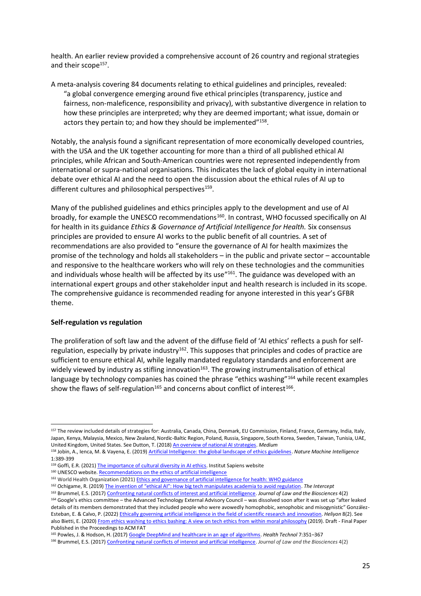health. An earlier review provided a comprehensive account of 26 country and regional strategies and their scope<sup>157</sup>.

A meta-analysis covering 84 documents relating to ethical guidelines and principles, revealed: "a global convergence emerging around five ethical principles (transparency, justice and fairness, non-maleficence, responsibility and privacy), with substantive divergence in relation to how these principles are interpreted; why they are deemed important; what issue, domain or actors they pertain to; and how they should be implemented"<sup>158</sup>.

Notably, the analysis found a significant representation of more economically developed countries, with the USA and the UK together accounting for more than a third of all published ethical AI principles, while African and South-American countries were not represented independently from international or supra-national organisations. This indicates the lack of global equity in international debate over ethical AI and the need to open the discussion about the ethical rules of AI up to different cultures and philosophical perspectives<sup>159</sup>.

Many of the published guidelines and ethics principles apply to the development and use of AI broadly, for example the UNESCO recommendations<sup>160</sup>. In contrast, WHO focussed specifically on AI for health in its guidance *Ethics & Governance of Artificial Intelligence for Health.* Six consensus principles are provided to ensure AI works to the public benefit of all countries. A set of recommendations are also provided to "ensure the governance of AI for health maximizes the promise of the technology and holds all stakeholders – in the public and private sector – accountable and responsive to the healthcare workers who will rely on these technologies and the communities and individuals whose health will be affected by its use<sup>"161</sup>. The guidance was developed with an international expert groups and other stakeholder input and health research is included in its scope. The comprehensive guidance is recommended reading for anyone interested in this year's GFBR theme.

#### **Self-regulation vs regulation**

The proliferation of soft law and the advent of the diffuse field of 'AI ethics' reflects a push for selfregulation, especially by private industry<sup>162</sup>. This supposes that principles and codes of practice are sufficient to ensure ethical AI, while legally mandated regulatory standards and enforcement are widely viewed by industry as stifling innovation<sup>163</sup>. The growing instrumentalisation of ethical language by technology companies has coined the phrase "ethics washing"<sup>164</sup> while recent examples show the flaws of self-regulation<sup>165</sup> and concerns about conflict of interest<sup>166</sup>.

<sup>158</sup> Jobin, A., Ienca, M. & Vayena, E. (2019[\) Artificial Intelligence: the global landscape of ethics guidelines.](https://www.nature.com/articles/s42256-019-0088-2) *Nature Machine Intelligence* 1:389-399

<sup>157</sup> The review included details of strategies for: Australia, Canada, China, Denmark, EU Commission, Finland, France, Germany, India, Italy, Japan, Kenya, Malaysia, Mexico, New Zealand, Nordic-Baltic Region, Poland, Russia, Singapore, South Korea, Sweden, Taiwan, Tunisia, UAE, United Kingdom, United States. See Dutton, T. (2018[\) An overview of national AI strategies.](https://medium.com/politics-ai/an-overview-of-national-ai-strategies-2a70ec6edfd) *Medium*

<sup>159</sup> Goffi, E.R. (2021) [The importance of cultural diversity in AI ethics.](https://www.institutsapiens.fr/the-importance-of-cultural-diversity-in-ai-ethics/) Institut Sapiens website

<sup>160</sup> UNESCO website[. Recommendations on the ethics of artificial intelligence](https://en.unesco.org/artificial-intelligence/ethics)

<sup>161</sup> World Health Organization (2021) [Ethics and governance of artificial intelligence for health: WHO guidance](https://www.who.int/publications/i/item/9789240029200)

<sup>162</sup> Ochigame, R. (2019) [The invention of "ethical AI": How big tech manipulates academia to avoid regulation](https://theintercept.com/2019/12/20/mit-ethical-ai-artificial-intelligence/). *The Intercept*

<sup>163</sup> Brummel, E.S. (2017[\) Confronting natural conflicts of interest and artificial intelligence.](https://academic.oup.com/jlb/article/4/2/435/4265565) *Journal of Law and the Biosciences* 4(2)

<sup>164</sup> Google's ethics committee – the Advanced Technology External Advisory Council – was dissolved soon after it was set up "after leaked details of its members demonstrated that they included people who were avowedly homophobic, xenophobic and misogynistic" González-Esteban, E. & Calvo, P. (2022[\) Ethically governing artificial intelligence in the field of scientific research and innovation.](https://www.sciencedirect.com/science/article/pii/S2405844022002341) *Heliyon* 8(2). See also Bietti, E. (2020[\) From ethics washing to ethics bashing: A view on tech ethics from within moral philosophy](https://ssrn.com/abstract=3513182) (2019). Draft - Final Paper Published in the Proceedings to ACM FAT

<sup>165</sup> Powles, J. & Hodson, H. (2017[\) Google DeepMind and healthcare in an age of algorithms.](https://link.springer.com/article/10.1007/s12553-017-0179-1) *Health Technol* 7:351–367

<sup>166</sup> Brummel, E.S. (2017[\) Confronting natural conflicts of interest and artificial intelligence.](https://academic.oup.com/jlb/article/4/2/435/4265565) *Journal of Law and the Biosciences* 4(2)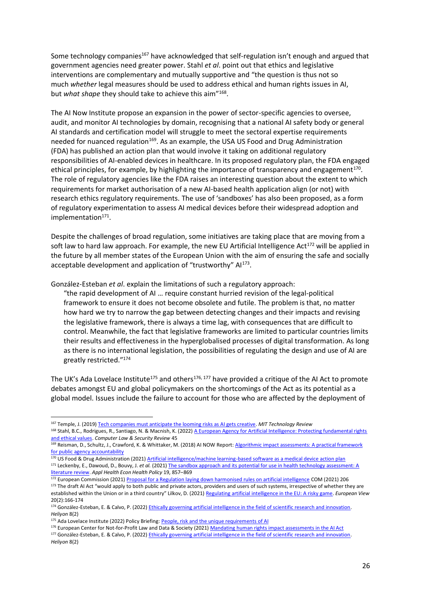Some technology companies<sup>167</sup> have acknowledged that self-regulation isn't enough and argued that government agencies need greater power. Stahl *et al*. point out that ethics and legislative interventions are complementary and mutually supportive and "the question is thus not so much *whether* legal measures should be used to address ethical and human rights issues in AI, but what shape they should take to achieve this aim"<sup>168</sup>.

The AI Now Institute propose an expansion in the power of sector-specific agencies to oversee, audit, and monitor AI technologies by domain, recognising that a national AI safety body or general AI standards and certification model will struggle to meet the sectoral expertise requirements needed for nuanced regulation<sup>169</sup>. As an example, the USA US Food and Drug Administration (FDA) has published an action plan that would involve it taking on additional regulatory responsibilities of AI-enabled devices in healthcare. In its proposed regulatory plan, the FDA engaged ethical principles, for example, by highlighting the importance of transparency and engagement $^{170}$ . The role of regulatory agencies like the FDA raises an interesting question about the extent to which requirements for market authorisation of a new AI-based health application align (or not) with research ethics regulatory requirements. The use of 'sandboxes' has also been proposed, as a form of regulatory experimentation to assess AI medical devices before their widespread adoption and implementation<sup>171</sup>.

Despite the challenges of broad regulation, some initiatives are taking place that are moving from a soft law to hard law approach. For example, the new EU Artificial Intelligence Act<sup>172</sup> will be applied in the future by all member states of the European Union with the aim of ensuring the safe and socially acceptable development and application of "trustworthy" Al<sup>173</sup>.

González-Esteban *et al*. explain the limitations of such a regulatory approach:

"the rapid development of AI … require constant hurried revision of the legal-political framework to ensure it does not become obsolete and futile. The problem is that, no matter how hard we try to narrow the gap between detecting changes and their impacts and revising the legislative framework, there is always a time lag, with consequences that are difficult to control. Meanwhile, the fact that legislative frameworks are limited to particular countries limits their results and effectiveness in the hyperglobalised processes of digital transformation. As long as there is no international legislation, the possibilities of regulating the design and use of AI are greatly restricted." 174

The UK's Ada Lovelace Institute<sup>175</sup> and others<sup>176, 177</sup> have provided a critique of the AI Act to promote debates amongst EU and global policymakers on the shortcomings of the Act as its potential as a global model. Issues include the failure to account for those who are affected by the deployment of

170 US Food & Drug Administration (2021[\) Artificial intelligence/machine learning-based software as a medical device](https://www.fda.gov/medical-devices/software-medical-device-samd/artificial-intelligence-and-machine-learning-software-medical-device) action plan

176 European Center for Not-for-Profit Law and Data & Society (2021[\) Mandating human rights impact assessments in the AI Act](https://ecnl.org/sites/default/files/2021-11/HRIA%20paper%20ECNL%20and%20Data%20Society.pdf) <sup>177</sup> González-Esteban, E. & Calvo, P. (2022[\) Ethically governing artificial intelligence in the field of scientific research and innovation.](https://www.sciencedirect.com/science/article/pii/S2405844022002341)  *Heliyon* 8(2)

<sup>167</sup> Temple, J. (2019) [Tech companies must anticipate the looming risks as AI gets creative.](https://www.technologyreview.com/2019/03/25/136482/tech-companies-must-anticipate-the-looming-risks-as-ai-gets-creative/) *MIT Technology Review*

<sup>168</sup> Stahl, B.C., Rodrigues, R., Santiago, N. & Macnish, K. (2022) A European Agency for Artificial Intelligence: Protecting fundamental rights [and ethical values.](https://www.sciencedirect.com/science/article/pii/S0267364922000097) *Computer Law & Security Review* 45

<sup>169</sup> Reisman, D., Schultz, J., Crawford, K. & Whittaker, M. (2018) AI NOW Report: Algorithmic impact assessments: A practical framework [for public agency accountability](https://ainowinstitute.org/aiareport2018.pdf)

<sup>171</sup> Leckenby, E., Dawoud, D., Bouvy, J. *et al.* (2021) The sandbox approach and its potential for use in health technology assessment: A [literature review.](https://link.springer.com/article/10.1007/s40258-021-00665-1) *Appl Health Econ Health Policy* 19, 857–869

<sup>172</sup> European Commission (2021) [Proposal for a Regulation laying down harmonised rules on artificial intelligence](https://eur-lex.europa.eu/resource.html?uri=cellar:e0649735-a372-11eb-9585-01aa75ed71a1.0001.02/DOC_1&format=PDF) COM (2021) 206 173 The draft AI Act "would apply to both public and private actors, providers and users of such systems, irrespective of whether they are established within the Union or in a third country" Lilkov, D. (2021) [Regulating artificial intelligence in the EU: A risky game.](https://journals.sagepub.com/doi/full/10.1177/17816858211059248) *European View* 20(2):166-174

<sup>174</sup> González-Esteban, E. & Calvo, P. (2022[\) Ethically governing artificial intelligence in the field of scientific research and innovation.](https://www.sciencedirect.com/science/article/pii/S2405844022002341)  *Heliyon* 8(2)

<sup>&</sup>lt;sup>175</sup> Ada Lovelace Institute (2022) Policy Briefing[: People, risk and the unique requirements of AI](https://www.adalovelaceinstitute.org/policy-briefing/eu-ai-act/)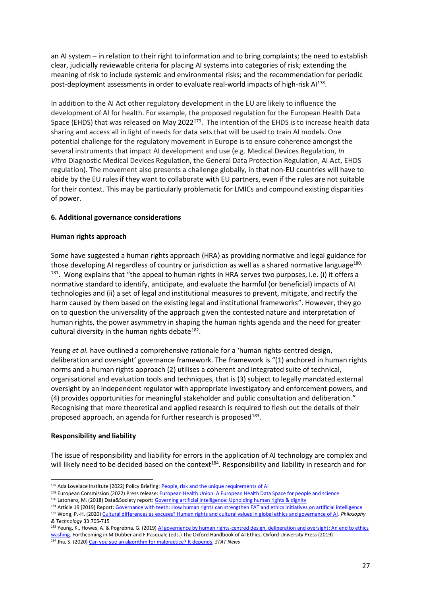an AI system – in relation to their right to information and to bring complaints; the need to establish clear, judicially reviewable criteria for placing AI systems into categories of risk; extending the meaning of risk to include systemic and environmental risks; and the recommendation for periodic post-deployment assessments in order to evaluate real-world impacts of high-risk Al<sup>178</sup>.

In addition to the AI Act other regulatory development in the EU are likely to influence the development of AI for health. For example, the proposed regulation for the European Health Data Space (EHDS) that was released on May 2022<sup>179</sup>. The intention of the EHDS is to increase health data sharing and access all in light of needs for data sets that will be used to train AI models. One potential challenge for the regulatory movement in Europe is to ensure coherence amongst the several instruments that impact AI development and use (e.g. Medical Devices Regulation, *In Vitro* Diagnostic Medical Devices Regulation, the General Data Protection Regulation, AI Act, EHDS regulation). The movement also presents a challenge globally, in that non-EU countries will have to abide by the EU rules if they want to collaborate with EU partners, even if the rules are not suitable for their context. This may be particularly problematic for LMICs and compound existing disparities of power.

# **6. Additional governance considerations**

# **Human rights approach**

Some have suggested a human rights approach (HRA) as providing normative and legal guidance for those developing AI regardless of country or jurisdiction as well as a shared normative language $^{180}$ , <sup>181</sup>. Wong explains that "the appeal to human rights in HRA serves two purposes, i.e. (i) it offers a normative standard to identify, anticipate, and evaluate the harmful (or beneficial) impacts of AI technologies and (ii) a set of legal and institutional measures to prevent, mitigate, and rectify the harm caused by them based on the existing legal and institutional frameworks". However, they go on to question the universality of the approach given the contested nature and interpretation of human rights, the power asymmetry in shaping the human rights agenda and the need for greater cultural diversity in the human rights debate $^{182}$ .

Yeung *et al.* have outlined a comprehensive rationale for a 'human rights-centred design, deliberation and oversight' governance framework. The framework is "(1) anchored in human rights norms and a human rights approach (2) utilises a coherent and integrated suite of technical, organisational and evaluation tools and techniques, that is (3) subject to legally mandated external oversight by an independent regulator with appropriate investigatory and enforcement powers, and (4) provides opportunities for meaningful stakeholder and public consultation and deliberation." Recognising that more theoretical and applied research is required to flesh out the details of their proposed approach, an agenda for further research is proposed $^{183}$ .

#### **Responsibility and liability**

The issue of responsibility and liability for errors in the application of AI technology are complex and will likely need to be decided based on the context<sup>184</sup>. Responsibility and liability in research and for

<sup>184</sup> Jha, S. (2020) [Can you sue an algorithm for malpractice? It depends.](https://www.statnews.com/2020/03/09/can-you-sue-artificial-intelligence-algorithm-for-malpractice/) *STAT News*

<sup>178</sup> Ada Lovelace Institute (2022) Policy Briefing[: People, risk and the unique requirements of AI](https://www.adalovelaceinstitute.org/policy-briefing/eu-ai-act/)

<sup>179</sup> European Commission (2022) Press release[: European Health Union: A European Health Data Space for people and science](https://ec.europa.eu/commission/presscorner/detail/en/IP_22_2711)

<sup>180</sup> Latonero, M. (2018) Data&Society report[: Governing artificial intelligence: Upholding human rights & dignity](https://datasociety.net/wp-content/uploads/2018/10/DataSociety_Governing_Artificial_Intelligence_Upholding_Human_Rights.pdf)

<sup>181</sup> Article 19 (2019) Report[: Governance with teeth: How human rights can strengthen FAT and ethics initiatives on artificial intelligence](https://www.article19.org/resources/governance-with-teeth-how-human-rights-can-strengthen-fat-and-ethics-initiatives-on-artificial-intelligence/) <sup>182</sup> Wong, P.-H. (2020) [Cultural differences as excuses? Human rights and cultural values in global ethics and governance of AI.](https://link.springer.com/content/pdf/10.1007/s13347-020-00413-8.pdf) *Philosophy & Technology* 33:705-715

<sup>183</sup> Yeung, K., Howes, A. & Pogrebna, G. (2019) AI governance by human rights-centred design, deliberation and oversight: An end to ethics [washing.](http://dx.doi.org/10.2139/ssrn.3435011) Forthcoming in M Dubber and F Pasquale (eds.) The Oxford Handbook of AI Ethics, Oxford University Press (2019)